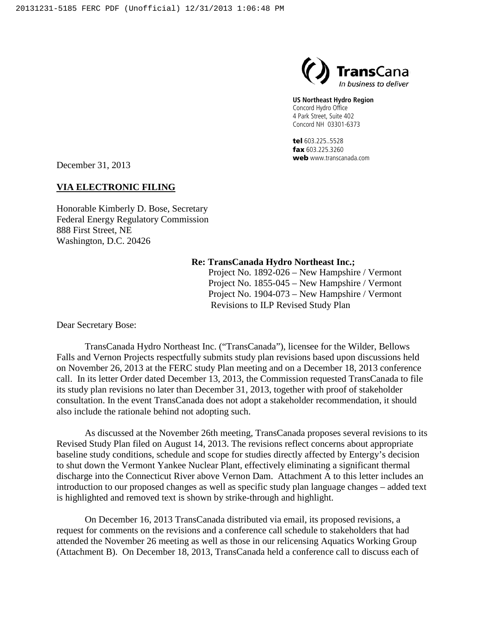

**US Northeast Hydro Region**

Concord Hydro Office 4 Park Street, Suite 402 Concord NH 03301-6373

tel 603.225..5528 fax 603.225.3260 web www.transcanada.com

December 31, 2013

## **VIA ELECTRONIC FILING**

Honorable Kimberly D. Bose, Secretary Federal Energy Regulatory Commission 888 First Street, NE Washington, D.C. 20426

#### **Re: TransCanada Hydro Northeast Inc.;**

Project No. 1892-026 – New Hampshire / Vermont Project No. 1855-045 – New Hampshire / Vermont Project No. 1904-073 – New Hampshire / Vermont Revisions to ILP Revised Study Plan

Dear Secretary Bose:

TransCanada Hydro Northeast Inc. ("TransCanada"), licensee for the Wilder, Bellows Falls and Vernon Projects respectfully submits study plan revisions based upon discussions held on November 26, 2013 at the FERC study Plan meeting and on a December 18, 2013 conference call. In its letter Order dated December 13, 2013, the Commission requested TransCanada to file its study plan revisions no later than December 31, 2013, together with proof of stakeholder consultation. In the event TransCanada does not adopt a stakeholder recommendation, it should also include the rationale behind not adopting such.

As discussed at the November 26th meeting, TransCanada proposes several revisions to its Revised Study Plan filed on August 14, 2013. The revisions reflect concerns about appropriate baseline study conditions, schedule and scope for studies directly affected by Entergy's decision to shut down the Vermont Yankee Nuclear Plant, effectively eliminating a significant thermal discharge into the Connecticut River above Vernon Dam. Attachment A to this letter includes an introduction to our proposed changes as well as specific study plan language changes – added text is highlighted and removed text is shown by strike-through and highlight.

On December 16, 2013 TransCanada distributed via email, its proposed revisions, a request for comments on the revisions and a conference call schedule to stakeholders that had attended the November 26 meeting as well as those in our relicensing Aquatics Working Group (Attachment B). On December 18, 2013, TransCanada held a conference call to discuss each of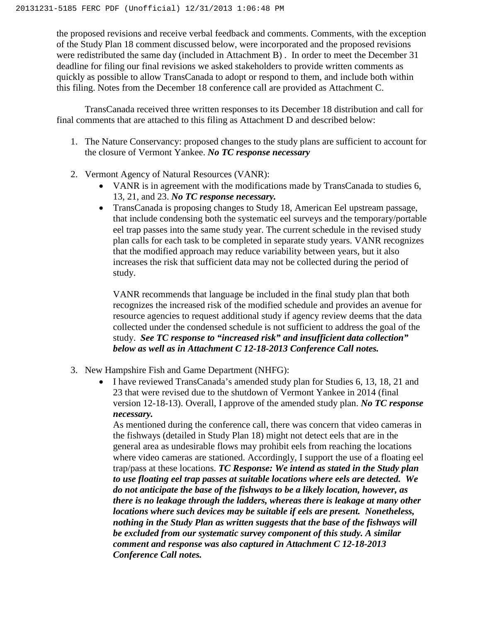the proposed revisions and receive verbal feedback and comments. Comments, with the exception of the Study Plan 18 comment discussed below, were incorporated and the proposed revisions were redistributed the same day (included in Attachment B) . In order to meet the December 31 deadline for filing our final revisions we asked stakeholders to provide written comments as quickly as possible to allow TransCanada to adopt or respond to them, and include both within this filing. Notes from the December 18 conference call are provided as Attachment C.

TransCanada received three written responses to its December 18 distribution and call for final comments that are attached to this filing as Attachment D and described below:

- 1. The Nature Conservancy: proposed changes to the study plans are sufficient to account for the closure of Vermont Yankee. *No TC response necessary*
- 2. Vermont Agency of Natural Resources (VANR):
	- VANR is in agreement with the modifications made by TransCanada to studies 6, 13, 21, and 23. *No TC response necessary.*
	- TransCanada is proposing changes to Study 18, American Eel upstream passage, that include condensing both the systematic eel surveys and the temporary/portable eel trap passes into the same study year. The current schedule in the revised study plan calls for each task to be completed in separate study years. VANR recognizes that the modified approach may reduce variability between years, but it also increases the risk that sufficient data may not be collected during the period of study.

VANR recommends that language be included in the final study plan that both recognizes the increased risk of the modified schedule and provides an avenue for resource agencies to request additional study if agency review deems that the data collected under the condensed schedule is not sufficient to address the goal of the study. *See TC response to "increased risk" and insufficient data collection" below as well as in Attachment C 12-18-2013 Conference Call notes.*

- 3. New Hampshire Fish and Game Department (NHFG):
	- I have reviewed TransCanada's amended study plan for Studies 6, 13, 18, 21 and 23 that were revised due to the shutdown of Vermont Yankee in 2014 (final version 12-18-13). Overall, I approve of the amended study plan. *No TC response necessary.*

As mentioned during the conference call, there was concern that video cameras in the fishways (detailed in Study Plan 18) might not detect eels that are in the general area as undesirable flows may prohibit eels from reaching the locations where video cameras are stationed. Accordingly, I support the use of a floating eel trap/pass at these locations. *TC Response: We intend as stated in the Study plan to use floating eel trap passes at suitable locations where eels are detected. We do not anticipate the base of the fishways to be a likely location, however, as there is no leakage through the ladders, whereas there is leakage at many other locations where such devices may be suitable if eels are present. Nonetheless, nothing in the Study Plan as written suggests that the base of the fishways will be excluded from our systematic survey component of this study. A similar comment and response was also captured in Attachment C 12-18-2013 Conference Call notes.*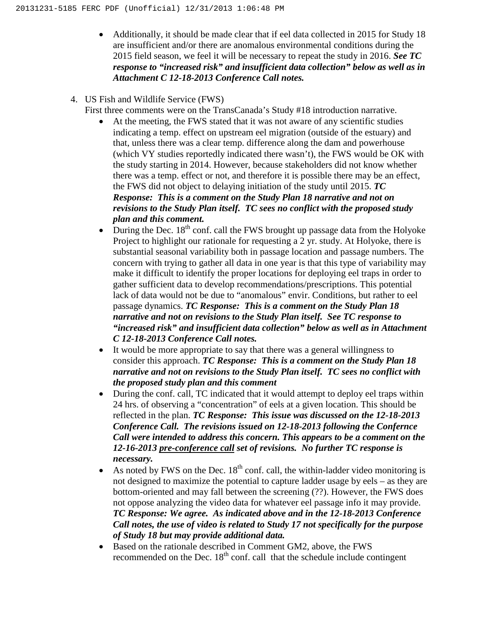- Additionally, it should be made clear that if eel data collected in 2015 for Study 18 are insufficient and/or there are anomalous environmental conditions during the 2015 field season, we feel it will be necessary to repeat the study in 2016. *See TC response to "increased risk" and insufficient data collection" below as well as in Attachment C 12-18-2013 Conference Call notes.*
- 4. US Fish and Wildlife Service (FWS)
	- First three comments were on the TransCanada's Study #18 introduction narrative.
		- At the meeting, the FWS stated that it was not aware of any scientific studies indicating a temp. effect on upstream eel migration (outside of the estuary) and that, unless there was a clear temp. difference along the dam and powerhouse (which VY studies reportedly indicated there wasn't), the FWS would be OK with the study starting in 2014. However, because stakeholders did not know whether there was a temp. effect or not, and therefore it is possible there may be an effect, the FWS did not object to delaying initiation of the study until 2015. *TC Response: This is a comment on the Study Plan 18 narrative and not on revisions to the Study Plan itself. TC sees no conflict with the proposed study plan and this comment.*
		- During the Dec.  $18^{th}$  conf. call the FWS brought up passage data from the Holyoke Project to highlight our rationale for requesting a 2 yr. study. At Holyoke, there is substantial seasonal variability both in passage location and passage numbers. The concern with trying to gather all data in one year is that this type of variability may make it difficult to identify the proper locations for deploying eel traps in order to gather sufficient data to develop recommendations/prescriptions. This potential lack of data would not be due to "anomalous" envir. Conditions, but rather to eel passage dynamics. *TC Response: This is a comment on the Study Plan 18 narrative and not on revisions to the Study Plan itself. See TC response to "increased risk" and insufficient data collection" below as well as in Attachment C 12-18-2013 Conference Call notes.*
		- It would be more appropriate to say that there was a general willingness to consider this approach. *TC Response: This is a comment on the Study Plan 18 narrative and not on revisions to the Study Plan itself. TC sees no conflict with the proposed study plan and this comment*
		- During the conf. call, TC indicated that it would attempt to deploy eel traps within 24 hrs. of observing a "concentration" of eels at a given location. This should be reflected in the plan. *TC Response: This issue was discussed on the 12-18-2013 Conference Call. The revisions issued on 12-18-2013 following the Confernce Call were intended to address this concern. This appears to be a comment on the 12-16-2013 pre-conference call set of revisions. No further TC response is necessary.*
		- As noted by FWS on the Dec.  $18<sup>th</sup>$  conf. call, the within-ladder video monitoring is not designed to maximize the potential to capture ladder usage by eels – as they are bottom-oriented and may fall between the screening (??). However, the FWS does not oppose analyzing the video data for whatever eel passage info it may provide. *TC Response: We agree. As indicated above and in the 12-18-2013 Conference Call notes, the use of video is related to Study 17 not specifically for the purpose of Study 18 but may provide additional data.*
		- Based on the rationale described in Comment GM2, above, the FWS recommended on the Dec.  $18<sup>th</sup>$  conf. call that the schedule include contingent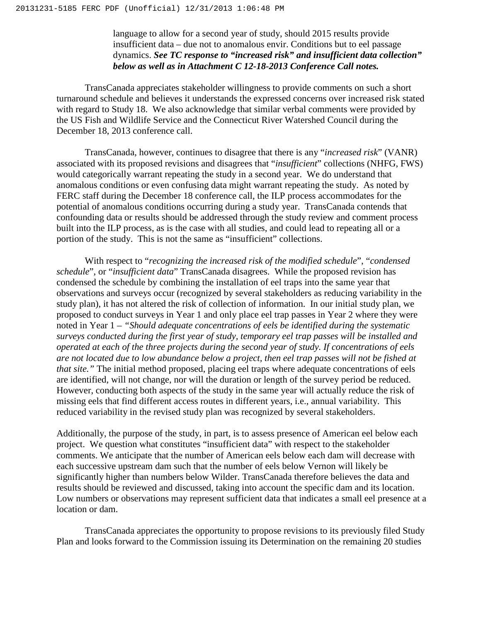language to allow for a second year of study, should 2015 results provide insufficient data – due not to anomalous envir. Conditions but to eel passage dynamics. *See TC response to "increased risk" and insufficient data collection" below as well as in Attachment C 12-18-2013 Conference Call notes.*

TransCanada appreciates stakeholder willingness to provide comments on such a short turnaround schedule and believes it understands the expressed concerns over increased risk stated with regard to Study 18. We also acknowledge that similar verbal comments were provided by the US Fish and Wildlife Service and the Connecticut River Watershed Council during the December 18, 2013 conference call.

TransCanada, however, continues to disagree that there is any "*increased risk*" (VANR) associated with its proposed revisions and disagrees that "*insufficient*" collections (NHFG, FWS) would categorically warrant repeating the study in a second year. We do understand that anomalous conditions or even confusing data might warrant repeating the study. As noted by FERC staff during the December 18 conference call, the ILP process accommodates for the potential of anomalous conditions occurring during a study year. TransCanada contends that confounding data or results should be addressed through the study review and comment process built into the ILP process, as is the case with all studies, and could lead to repeating all or a portion of the study. This is not the same as "insufficient" collections.

With respect to "*recognizing the increased risk of the modified schedule*", "*condensed schedule*", or "*insufficient data*" TransCanada disagrees. While the proposed revision has condensed the schedule by combining the installation of eel traps into the same year that observations and surveys occur (recognized by several stakeholders as reducing variability in the study plan), it has not altered the risk of collection of information. In our initial study plan, we proposed to conduct surveys in Year 1 and only place eel trap passes in Year 2 where they were noted in Year 1 – *"Should adequate concentrations of eels be identified during the systematic surveys conducted during the first year of study, temporary eel trap passes will be installed and operated at each of the three projects during the second year of study. If concentrations of eels are not located due to low abundance below a project, then eel trap passes will not be fished at that site."* The initial method proposed, placing eel traps where adequate concentrations of eels are identified, will not change, nor will the duration or length of the survey period be reduced. However, conducting both aspects of the study in the same year will actually reduce the risk of missing eels that find different access routes in different years, i.e., annual variability. This reduced variability in the revised study plan was recognized by several stakeholders.

Additionally, the purpose of the study, in part, is to assess presence of American eel below each project. We question what constitutes "insufficient data" with respect to the stakeholder comments. We anticipate that the number of American eels below each dam will decrease with each successive upstream dam such that the number of eels below Vernon will likely be significantly higher than numbers below Wilder. TransCanada therefore believes the data and results should be reviewed and discussed, taking into account the specific dam and its location. Low numbers or observations may represent sufficient data that indicates a small eel presence at a location or dam.

TransCanada appreciates the opportunity to propose revisions to its previously filed Study Plan and looks forward to the Commission issuing its Determination on the remaining 20 studies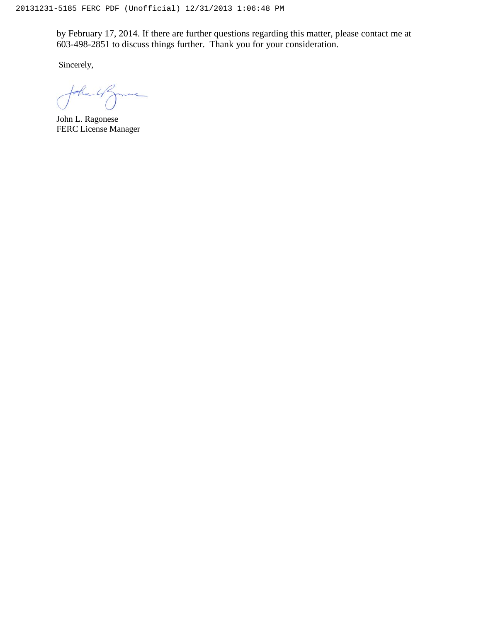by February 17, 2014. If there are further questions regarding this matter, please contact me at 603-498-2851 to discuss things further. Thank you for your consideration.

Sincerely,

John 4 grave

John L. Ragonese FERC License Manager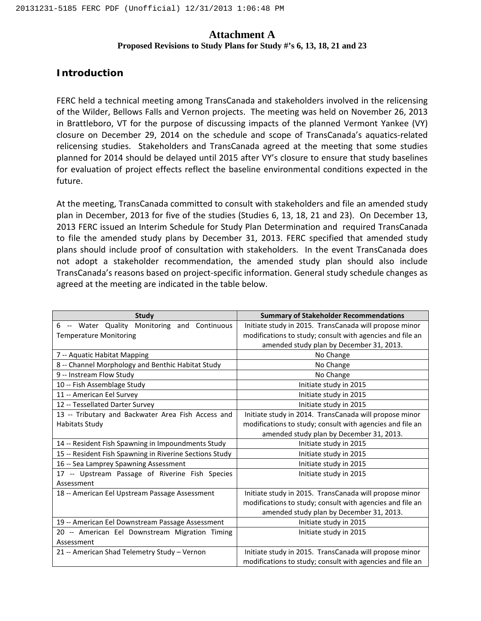## **Attachment A**

#### **Proposed Revisions to Study Plans for Study #'s 6, 13, 18, 21 and 23**

## **Introduction**

FERC held a technical meeting among TransCanada and stakeholders involved in the relicensing of the Wilder, Bellows Falls and Vernon projects. The meeting was held on November 26, 2013 in Brattleboro, VT for the purpose of discussing impacts of the planned Vermont Yankee (VY) closure on December 29, 2014 on the schedule and scope of TransCanada's aquatics-related relicensing studies. Stakeholders and TransCanada agreed at the meeting that some studies planned for 2014 should be delayed until 2015 after VY's closure to ensure that study baselines for evaluation of project effects reflect the baseline environmental conditions expected in the future.

At the meeting, TransCanada committed to consult with stakeholders and file an amended study plan in December, 2013 for five of the studies (Studies 6, 13, 18, 21 and 23). On December 13, 2013 FERC issued an Interim Schedule for Study Plan Determination and required TransCanada to file the amended study plans by December 31, 2013. FERC specified that amended study plans should include proof of consultation with stakeholders. In the event TransCanada does not adopt a stakeholder recommendation, the amended study plan should also include TransCanada's reasons based on project-specific information. General study schedule changes as agreed at the meeting are indicated in the table below.

| <b>Study</b>                                             | <b>Summary of Stakeholder Recommendations</b>             |
|----------------------------------------------------------|-----------------------------------------------------------|
| Monitoring and Continuous<br>Water Quality<br>6<br>$- -$ | Initiate study in 2015. TransCanada will propose minor    |
| <b>Temperature Monitoring</b>                            | modifications to study; consult with agencies and file an |
|                                                          | amended study plan by December 31, 2013.                  |
| 7 -- Aquatic Habitat Mapping                             | No Change                                                 |
| 8 -- Channel Morphology and Benthic Habitat Study        | No Change                                                 |
| 9 -- Instream Flow Study                                 | No Change                                                 |
| 10 -- Fish Assemblage Study                              | Initiate study in 2015                                    |
| 11 -- American Eel Survey                                | Initiate study in 2015                                    |
| 12 -- Tessellated Darter Survey                          | Initiate study in 2015                                    |
| 13 -- Tributary and Backwater Area Fish Access and       | Initiate study in 2014. TransCanada will propose minor    |
| <b>Habitats Study</b>                                    | modifications to study; consult with agencies and file an |
|                                                          | amended study plan by December 31, 2013.                  |
| 14 -- Resident Fish Spawning in Impoundments Study       | Initiate study in 2015                                    |
| 15 -- Resident Fish Spawning in Riverine Sections Study  | Initiate study in 2015                                    |
| 16 -- Sea Lamprey Spawning Assessment                    | Initiate study in 2015                                    |
| 17 -- Upstream Passage of Riverine Fish Species          | Initiate study in 2015                                    |
| Assessment                                               |                                                           |
| 18 -- American Eel Upstream Passage Assessment           | Initiate study in 2015. TransCanada will propose minor    |
|                                                          | modifications to study; consult with agencies and file an |
|                                                          | amended study plan by December 31, 2013.                  |
| 19 -- American Eel Downstream Passage Assessment         | Initiate study in 2015                                    |
| 20 -- American Eel Downstream Migration Timing           | Initiate study in 2015                                    |
| Assessment                                               |                                                           |
| 21 -- American Shad Telemetry Study - Vernon             | Initiate study in 2015. TransCanada will propose minor    |
|                                                          | modifications to study; consult with agencies and file an |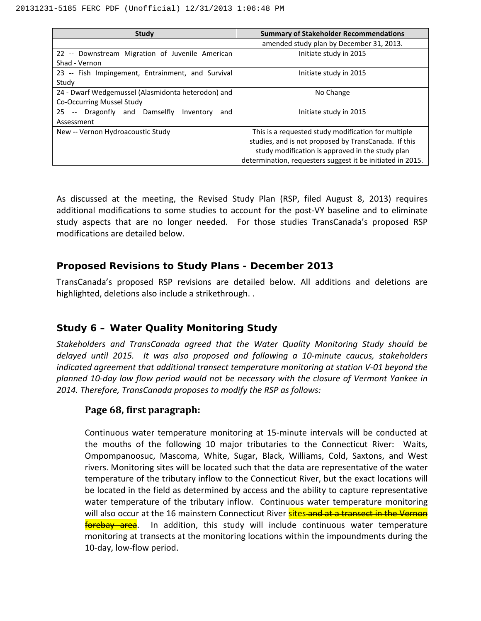| Study                                              | <b>Summary of Stakeholder Recommendations</b>              |
|----------------------------------------------------|------------------------------------------------------------|
|                                                    | amended study plan by December 31, 2013.                   |
| 22 -- Downstream Migration of Juvenile American    | Initiate study in 2015                                     |
| Shad - Vernon                                      |                                                            |
| 23 -- Fish Impingement, Entrainment, and Survival  | Initiate study in 2015                                     |
| Study                                              |                                                            |
| 24 - Dwarf Wedgemussel (Alasmidonta heterodon) and | No Change                                                  |
| Co-Occurring Mussel Study                          |                                                            |
| 25<br>Dragonfly and Damselfly<br>Inventory<br>and  | Initiate study in 2015                                     |
| Assessment                                         |                                                            |
| New -- Vernon Hydroacoustic Study                  | This is a requested study modification for multiple        |
|                                                    | studies, and is not proposed by TransCanada. If this       |
|                                                    | study modification is approved in the study plan           |
|                                                    | determination, requesters suggest it be initiated in 2015. |

As discussed at the meeting, the Revised Study Plan (RSP, filed August 8, 2013) requires additional modifications to some studies to account for the post-VY baseline and to eliminate study aspects that are no longer needed. For those studies TransCanada's proposed RSP modifications are detailed below.

## **Proposed Revisions to Study Plans - December 2013**

TransCanada's proposed RSP revisions are detailed below. All additions and deletions are highlighted, deletions also include a strikethrough. .

# **Study 6 – Water Quality Monitoring Study**

*Stakeholders and TransCanada agreed that the Water Quality Monitoring Study should be delayed until 2015. It was also proposed and following a 10-minute caucus, stakeholders indicated agreement that additional transect temperature monitoring at station V-01 beyond the planned 10-day low flow period would not be necessary with the closure of Vermont Yankee in 2014. Therefore, TransCanada proposes to modify the RSP as follows:*

# **Page 68, first paragraph:**

Continuous water temperature monitoring at 15-minute intervals will be conducted at the mouths of the following 10 major tributaries to the Connecticut River: Waits, Ompompanoosuc, Mascoma, White, Sugar, Black, Williams, Cold, Saxtons, and West rivers. Monitoring sites will be located such that the data are representative of the water temperature of the tributary inflow to the Connecticut River, but the exact locations will be located in the field as determined by access and the ability to capture representative water temperature of the tributary inflow. Continuous water temperature monitoring will also occur at the 16 mainstem Connecticut River sites and at a transect in the Vernon **forebay area**. In addition, this study will include continuous water temperature monitoring at transects at the monitoring locations within the impoundments during the 10-day, low-flow period.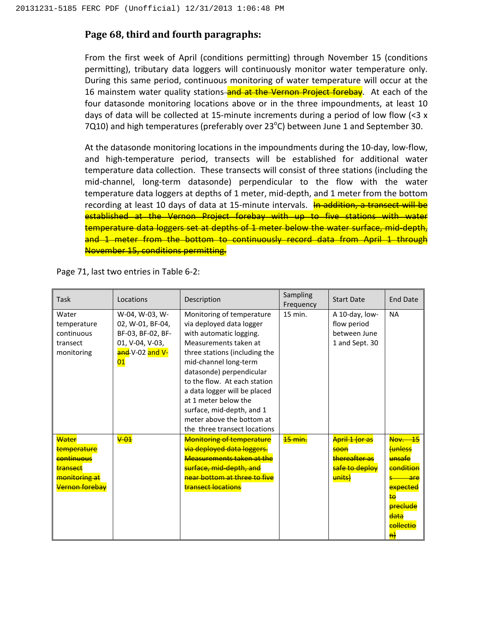# **Page 68, third and fourth paragraphs:**

From the first week of April (conditions permitting) through November 15 (conditions permitting), tributary data loggers will continuously monitor water temperature only. During this same period, continuous monitoring of water temperature will occur at the 16 mainstem water quality stations and at the Vernon Project forebay. At each of the four datasonde monitoring locations above or in the three impoundments, at least 10 days of data will be collected at 15-minute increments during a period of low flow  $\left($  <3 x 7Q10) and high temperatures (preferably over 23 $^{\circ}$ C) between June 1 and September 30.

At the datasonde monitoring locations in the impoundments during the 10-day, low-flow, and high-temperature period, transects will be established for additional water temperature data collection. These transects will consist of three stations (including the mid-channel, long-term datasonde) perpendicular to the flow with the water temperature data loggers at depths of 1 meter, mid-depth, and 1 meter from the bottom recording at least 10 days of data at 15-minute intervals. In addition, a transect will be established at the Vernon Project forebay with up to five stations with water temperature data loggers set at depths of 1 meter below the water surface, mid-depth, and 1 meter from the bottom to continuously record data from April 1 through November 15, conditions permitting.

| Task                                                                                                | Locations                                                                                           | Description                                                                                                                                                                                                                                                                                                                                                                       | Sampling<br>Frequency | <b>Start Date</b>                                                                 | <b>End Date</b>                                                                                                                                                 |
|-----------------------------------------------------------------------------------------------------|-----------------------------------------------------------------------------------------------------|-----------------------------------------------------------------------------------------------------------------------------------------------------------------------------------------------------------------------------------------------------------------------------------------------------------------------------------------------------------------------------------|-----------------------|-----------------------------------------------------------------------------------|-----------------------------------------------------------------------------------------------------------------------------------------------------------------|
| Water<br>temperature<br>continuous<br>transect<br>monitoring                                        | W-04, W-03, W-<br>02, W-01, BF-04,<br>BF-03, BF-02, BF-<br>01, V-04, V-03,<br>and V-02 and V-<br>01 | Monitoring of temperature<br>via deployed data logger<br>with automatic logging.<br>Measurements taken at<br>three stations (including the<br>mid-channel long-term<br>datasonde) perpendicular<br>to the flow. At each station<br>a data logger will be placed<br>at 1 meter below the<br>surface, mid-depth, and 1<br>meter above the bottom at<br>the three transect locations | 15 min.               | A 10-day, low-<br>flow period<br>between June<br>1 and Sept. 30                   | <b>NA</b>                                                                                                                                                       |
| Water<br>temperature<br><b>continuous</b><br>transect<br>monitoring at<br><del>Vernon forebav</del> | $\sqrt{01}$                                                                                         | <b>Monitoring of temperature</b><br>via deployed data loggers.<br>Measurements taken at the<br>surface. mid-depth. and<br>near bottom at three to five<br><b>transect locations</b>                                                                                                                                                                                               | <del>15 min.</del>    | <b>April 1 (or as</b><br><b>soon</b><br>thereafter as<br>safe to deploy<br>units) | <b>Nov.</b> 15<br><b>funless</b><br>unsafe<br><del>condition</del><br>are<br>expected<br>ŧθ<br><b>preclude</b><br>data<br>collectio<br>$\vert \mathsf{H} \vert$ |

Page 71, last two entries in Table 6-2: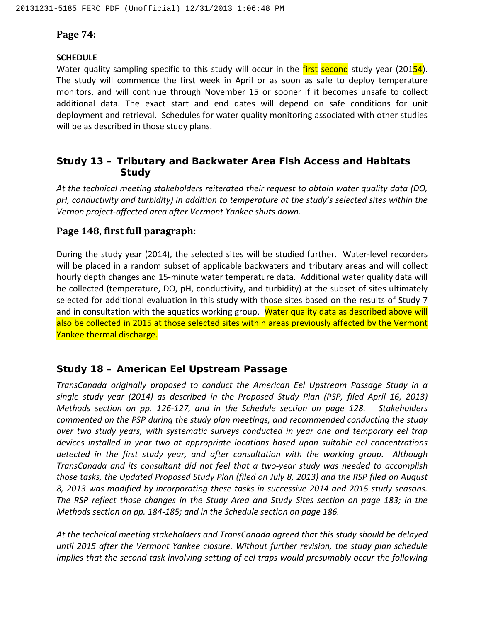# **Page 74:**

# **SCHEDULE**

Water quality sampling specific to this study will occur in the **first-second** study year (20154). The study will commence the first week in April or as soon as safe to deploy temperature monitors, and will continue through November 15 or sooner if it becomes unsafe to collect additional data. The exact start and end dates will depend on safe conditions for unit deployment and retrieval. Schedules for water quality monitoring associated with other studies will be as described in those study plans.

# **Study 13 – Tributary and Backwater Area Fish Access and Habitats Study**

*At the technical meeting stakeholders reiterated their request to obtain water quality data (DO, pH, conductivity and turbidity) in addition to temperature at the study's selected sites within the Vernon project-affected area after Vermont Yankee shuts down.* 

# **Page 148, first full paragraph:**

During the study year (2014), the selected sites will be studied further. Water-level recorders will be placed in a random subset of applicable backwaters and tributary areas and will collect hourly depth changes and 15-minute water temperature data. Additional water quality data will be collected (temperature, DO, pH, conductivity, and turbidity) at the subset of sites ultimately selected for additional evaluation in this study with those sites based on the results of Study 7 and in consultation with the aquatics working group. Water quality data as described above will also be collected in 2015 at those selected sites within areas previously affected by the Vermont Yankee thermal discharge.

# **Study 18 – American Eel Upstream Passage**

*TransCanada originally proposed to conduct the American Eel Upstream Passage Study in a single study year (2014) as described in the Proposed Study Plan (PSP, filed April 16, 2013) Methods section on pp. 126-127, and in the Schedule section on page 128. Stakeholders commented on the PSP during the study plan meetings, and recommended conducting the study over two study years, with systematic surveys conducted in year one and temporary eel trap devices installed in year two at appropriate locations based upon suitable eel concentrations detected in the first study year, and after consultation with the working group. Although TransCanada and its consultant did not feel that a two-year study was needed to accomplish those tasks, the Updated Proposed Study Plan (filed on July 8, 2013) and the RSP filed on August 8, 2013 was modified by incorporating these tasks in successive 2014 and 2015 study seasons. The RSP reflect those changes in the Study Area and Study Sites section on page 183; in the Methods section on pp. 184-185; and in the Schedule section on page 186.* 

*At the technical meeting stakeholders and TransCanada agreed that this study should be delayed until 2015 after the Vermont Yankee closure. Without further revision, the study plan schedule implies that the second task involving setting of eel traps would presumably occur the following*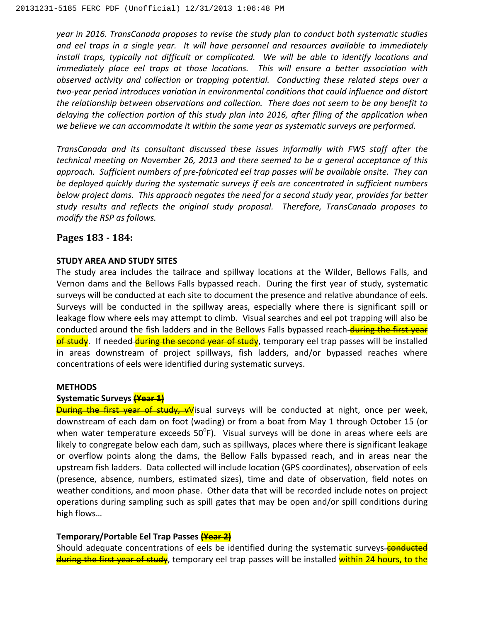*year in 2016. TransCanada proposes to revise the study plan to conduct both systematic studies and eel traps in a single year. It will have personnel and resources available to immediately install traps, typically not difficult or complicated. We will be able to identify locations and immediately place eel traps at those locations. This will ensure a better association with observed activity and collection or trapping potential. Conducting these related steps over a two-year period introduces variation in environmental conditions that could influence and distort the relationship between observations and collection. There does not seem to be any benefit to delaying the collection portion of this study plan into 2016, after filing of the application when we believe we can accommodate it within the same year as systematic surveys are performed.*

*TransCanada and its consultant discussed these issues informally with FWS staff after the technical meeting on November 26, 2013 and there seemed to be a general acceptance of this approach. Sufficient numbers of pre-fabricated eel trap passes will be available onsite. They can be deployed quickly during the systematic surveys if eels are concentrated in sufficient numbers below project dams. This approach negates the need for a second study year, provides for better study results and reflects the original study proposal. Therefore, TransCanada proposes to modify the RSP as follows.* 

## **Pages 183 - 184:**

#### **STUDY AREA AND STUDY SITES**

The study area includes the tailrace and spillway locations at the Wilder, Bellows Falls, and Vernon dams and the Bellows Falls bypassed reach. During the first year of study, systematic surveys will be conducted at each site to document the presence and relative abundance of eels. Surveys will be conducted in the spillway areas, especially where there is significant spill or leakage flow where eels may attempt to climb. Visual searches and eel pot trapping will also be conducted around the fish ladders and in the Bellows Falls bypassed reach during the first year of study. If needed during the second year of study, temporary eel trap passes will be installed in areas downstream of project spillways, fish ladders, and/or bypassed reaches where concentrations of eels were identified during systematic surveys.

#### **METHODS**

#### **Systematic Surveys (Year 1)**

**During the first year of study, vV**isual surveys will be conducted at night, once per week, downstream of each dam on foot (wading) or from a boat from May 1 through October 15 (or when water temperature exceeds  $50^{\circ}$ F). Visual surveys will be done in areas where eels are likely to congregate below each dam, such as spillways, places where there is significant leakage or overflow points along the dams, the Bellow Falls bypassed reach, and in areas near the upstream fish ladders. Data collected will include location (GPS coordinates), observation of eels (presence, absence, numbers, estimated sizes), time and date of observation, field notes on weather conditions, and moon phase. Other data that will be recorded include notes on project operations during sampling such as spill gates that may be open and/or spill conditions during high flows…

#### **Temporary/Portable Eel Trap Passes (Year 2)**

Should adequate concentrations of eels be identified during the systematic surveys-conducted during the first year of study, temporary eel trap passes will be installed within 24 hours, to the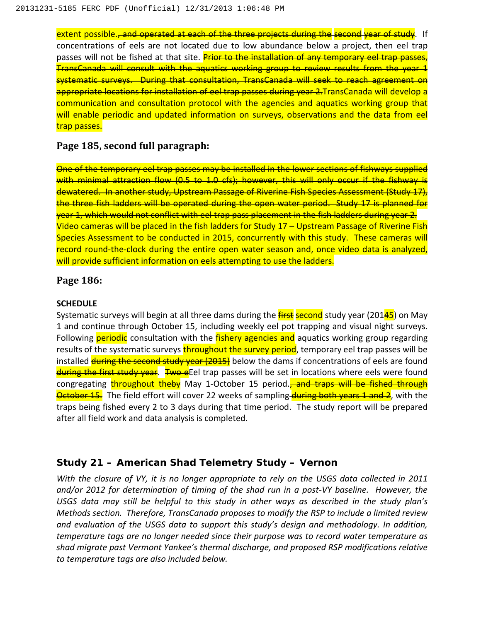extent possible.<del>, and operated at each of the three projects during the second year of study</del>. If concentrations of eels are not located due to low abundance below a project, then eel trap passes will not be fished at that site. Prior to the installation of any temporary eel trap passes, TransCanada will consult with the aquatics working group to review results from the year 1 systematic surveys. During that consultation, TransCanada will seek to reach agreement on appropriate locations for installation of eel trap passes during year 2.TransCanada will develop a communication and consultation protocol with the agencies and aquatics working group that will enable periodic and updated information on surveys, observations and the data from eel trap passes.

## **Page 185, second full paragraph:**

One of the temporary eel trap passes may be installed in the lower sections of fishways supplied with minimal attraction flow (0.5 to 1.0 cfs); however, this will only occur if the fishway is dewatered. In another study, Upstream Passage of Riverine Fish Species Assessment (Study 17), the three fish ladders will be operated during the open water period. Study 17 is planned for year 1, which would not conflict with eel trap pass placement in the fish ladders during year 2. Video cameras will be placed in the fish ladders for Study 17 – Upstream Passage of Riverine Fish Species Assessment to be conducted in 2015, concurrently with this study. These cameras will record round-the-clock during the entire open water season and, once video data is analyzed, will provide sufficient information on eels attempting to use the ladders.

## **Page 186:**

#### **SCHEDULE**

Systematic surveys will begin at all three dams during the *first* second study year (20145) on May 1 and continue through October 15, including weekly eel pot trapping and visual night surveys. Following **periodic** consultation with the **fishery agencies and** aquatics working group regarding results of the systematic surveys throughout the survey period, temporary eel trap passes will be installed during the second study year (2015) below the dams if concentrations of eels are found during the first study year. Two eEel trap passes will be set in locations where eels were found congregating throughout theby May 1-October 15 period. **and traps will be fished through October 15.** The field effort will cover 22 weeks of sampling during both years 1 and 2, with the traps being fished every 2 to 3 days during that time period. The study report will be prepared after all field work and data analysis is completed.

# **Study 21 – American Shad Telemetry Study – Vernon**

*With the closure of VY, it is no longer appropriate to rely on the USGS data collected in 2011 and/or 2012 for determination of timing of the shad run in a post-VY baseline. However, the USGS data may still be helpful to this study in other ways as described in the study plan's Methods section. Therefore, TransCanada proposes to modify the RSP to include a limited review and evaluation of the USGS data to support this study's design and methodology. In addition, temperature tags are no longer needed since their purpose was to record water temperature as shad migrate past Vermont Yankee's thermal discharge, and proposed RSP modifications relative to temperature tags are also included below.*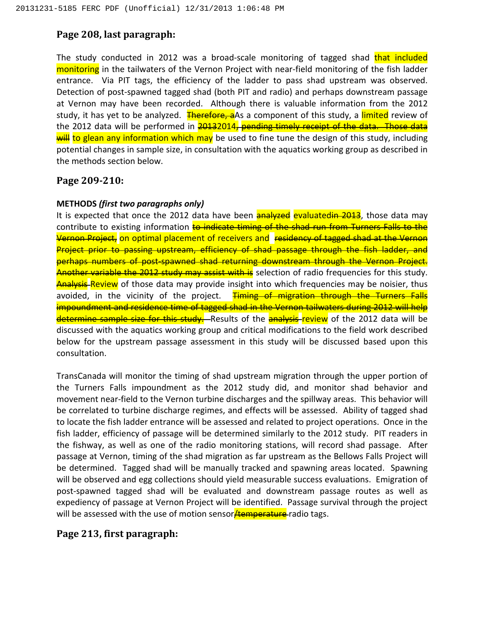# **Page 208, last paragraph:**

The study conducted in 2012 was a broad-scale monitoring of tagged shad that included monitoring in the tailwaters of the Vernon Project with near-field monitoring of the fish ladder entrance. Via PIT tags, the efficiency of the ladder to pass shad upstream was observed. Detection of post-spawned tagged shad (both PIT and radio) and perhaps downstream passage at Vernon may have been recorded. Although there is valuable information from the 2012 study, it has yet to be analyzed. Therefore, a As a component of this study, a limited review of the 2012 data will be performed in 20132014, pending timely receipt of the data. Those data will to glean any information which may be used to fine tune the design of this study, including potential changes in sample size, in consultation with the aquatics working group as described in the methods section below.

# **Page 209-210:**

## **METHODS** *(first two paragraphs only)*

It is expected that once the 2012 data have been **analyzed** evaluatedin 2013, those data may contribute to existing information to indicate timing of the shad run from Turners Falls to the Vernon Project, on optimal placement of receivers and residency of tagged shad at the Vernon Project prior to passing upstream, efficiency of shad passage through the fish ladder, and perhaps numbers of post-spawned shad returning downstream through the Vernon Project. Another variable the 2012 study may assist with is selection of radio frequencies for this study. **Analysis-Review** of those data may provide insight into which frequencies may be noisier, thus avoided, in the vicinity of the project. Timing of migration through the Turners Falls impoundment and residence time of tagged shad in the Vernon tailwaters during 2012 will help determine sample size for this study. Results of the analysis review of the 2012 data will be discussed with the aquatics working group and critical modifications to the field work described below for the upstream passage assessment in this study will be discussed based upon this consultation.

TransCanada will monitor the timing of shad upstream migration through the upper portion of the Turners Falls impoundment as the 2012 study did, and monitor shad behavior and movement near-field to the Vernon turbine discharges and the spillway areas. This behavior will be correlated to turbine discharge regimes, and effects will be assessed. Ability of tagged shad to locate the fish ladder entrance will be assessed and related to project operations. Once in the fish ladder, efficiency of passage will be determined similarly to the 2012 study. PIT readers in the fishway, as well as one of the radio monitoring stations, will record shad passage. After passage at Vernon, timing of the shad migration as far upstream as the Bellows Falls Project will be determined. Tagged shad will be manually tracked and spawning areas located. Spawning will be observed and egg collections should yield measurable success evaluations. Emigration of post-spawned tagged shad will be evaluated and downstream passage routes as well as expediency of passage at Vernon Project will be identified. Passage survival through the project will be assessed with the use of motion sensor**/temperature** radio tags.

# **Page 213, first paragraph:**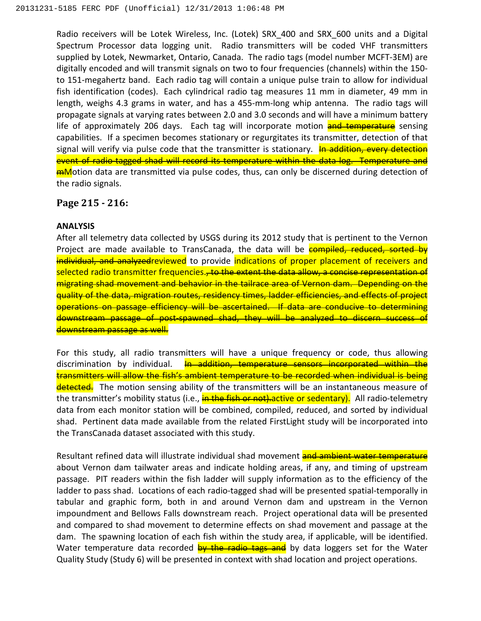Radio receivers will be Lotek Wireless, Inc. (Lotek) SRX\_400 and SRX\_600 units and a Digital Spectrum Processor data logging unit. Radio transmitters will be coded VHF transmitters supplied by Lotek, Newmarket, Ontario, Canada. The radio tags (model number MCFT-3EM) are digitally encoded and will transmit signals on two to four frequencies (channels) within the 150 to 151-megahertz band. Each radio tag will contain a unique pulse train to allow for individual fish identification (codes). Each cylindrical radio tag measures 11 mm in diameter, 49 mm in length, weighs 4.3 grams in water, and has a 455-mm-long whip antenna. The radio tags will propagate signals at varying rates between 2.0 and 3.0 seconds and will have a minimum battery life of approximately 206 days. Each tag will incorporate motion **and temperature** sensing capabilities. If a specimen becomes stationary or regurgitates its transmitter, detection of that signal will verify via pulse code that the transmitter is stationary. In addition, every detection event of radio-tagged shad will record its temperature within the data log. Temperature and **mMotion data are transmitted via pulse codes, thus, can only be discerned during detection of** the radio signals.

## **Page 215 - 216:**

#### **ANALYSIS**

After all telemetry data collected by USGS during its 2012 study that is pertinent to the Vernon Project are made available to TransCanada, the data will be **compiled, reduced, sorted by** individual, and analyzedreviewed to provide indications of proper placement of receivers and selected radio transmitter frequencies.<del>, to the extent the data allow, a concise representation of</del> migrating shad movement and behavior in the tailrace area of Vernon dam. Depending on the quality of the data, migration routes, residency times, ladder efficiencies, and effects of project operations on passage efficiency will be ascertained. If data are conducive to determining downstream passage of post-spawned shad, they will be analyzed to discern success downstream passage as well.

For this study, all radio transmitters will have a unique frequency or code, thus allowing discrimination by individual. In addition, temperature sensors incorporated within the transmitters will allow the fish's ambient temperature to be recorded when individual is being detected. The motion sensing ability of the transmitters will be an instantaneous measure of the transmitter's mobility status (i.e., in the fish or not). active or sedentary). All radio-telemetry data from each monitor station will be combined, compiled, reduced, and sorted by individual shad. Pertinent data made available from the related FirstLight study will be incorporated into the TransCanada dataset associated with this study.

Resultant refined data will illustrate individual shad movement and ambient water temperature about Vernon dam tailwater areas and indicate holding areas, if any, and timing of upstream passage. PIT readers within the fish ladder will supply information as to the efficiency of the ladder to pass shad. Locations of each radio-tagged shad will be presented spatial-temporally in tabular and graphic form, both in and around Vernon dam and upstream in the Vernon impoundment and Bellows Falls downstream reach. Project operational data will be presented and compared to shad movement to determine effects on shad movement and passage at the dam. The spawning location of each fish within the study area, if applicable, will be identified. Water temperature data recorded by the radio tags and by data loggers set for the Water Quality Study (Study 6) will be presented in context with shad location and project operations.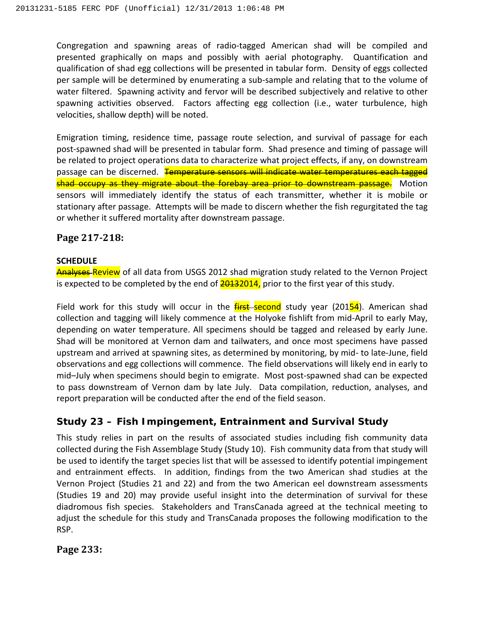Congregation and spawning areas of radio-tagged American shad will be compiled and presented graphically on maps and possibly with aerial photography. Quantification and qualification of shad egg collections will be presented in tabular form. Density of eggs collected per sample will be determined by enumerating a sub-sample and relating that to the volume of water filtered. Spawning activity and fervor will be described subjectively and relative to other spawning activities observed. Factors affecting egg collection (i.e., water turbulence, high velocities, shallow depth) will be noted.

Emigration timing, residence time, passage route selection, and survival of passage for each post-spawned shad will be presented in tabular form. Shad presence and timing of passage will be related to project operations data to characterize what project effects, if any, on downstream passage can be discerned. Temperature sensors will indicate water temperatures each tagged shad occupy as they migrate about the forebay area prior to downstream passage. Motion sensors will immediately identify the status of each transmitter, whether it is mobile or stationary after passage. Attempts will be made to discern whether the fish regurgitated the tag or whether it suffered mortality after downstream passage.

## **Page 217-218:**

### **SCHEDULE**

Analyses-Review of all data from USGS 2012 shad migration study related to the Vernon Project is expected to be completed by the end of  $\frac{20132014}{100}$  prior to the first year of this study.

Field work for this study will occur in the  $\frac{first-second}{start}$  study year (20154). American shad collection and tagging will likely commence at the Holyoke fishlift from mid-April to early May, depending on water temperature. All specimens should be tagged and released by early June. Shad will be monitored at Vernon dam and tailwaters, and once most specimens have passed upstream and arrived at spawning sites, as determined by monitoring, by mid- to late-June, field observations and egg collections will commence. The field observations will likely end in early to mid–July when specimens should begin to emigrate. Most post-spawned shad can be expected to pass downstream of Vernon dam by late July. Data compilation, reduction, analyses, and report preparation will be conducted after the end of the field season.

# **Study 23 – Fish Impingement, Entrainment and Survival Study**

This study relies in part on the results of associated studies including fish community data collected during the Fish Assemblage Study (Study 10). Fish community data from that study will be used to identify the target species list that will be assessed to identify potential impingement and entrainment effects. In addition, findings from the two American shad studies at the Vernon Project (Studies 21 and 22) and from the two American eel downstream assessments (Studies 19 and 20) may provide useful insight into the determination of survival for these diadromous fish species. Stakeholders and TransCanada agreed at the technical meeting to adjust the schedule for this study and TransCanada proposes the following modification to the RSP.

**Page 233:**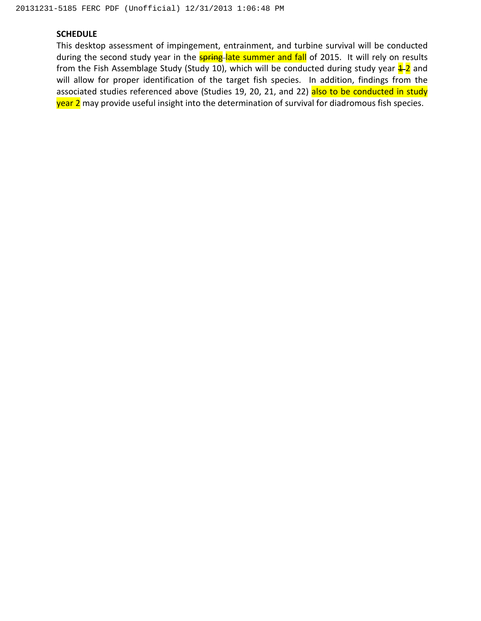#### **SCHEDULE**

This desktop assessment of impingement, entrainment, and turbine survival will be conducted during the second study year in the **spring-late summer and fall** of 2015. It will rely on results from the Fish Assemblage Study (Study 10), which will be conducted during study year  $\frac{4}{12}$  and will allow for proper identification of the target fish species. In addition, findings from the associated studies referenced above (Studies 19, 20, 21, and 22) also to be conducted in study year 2 may provide useful insight into the determination of survival for diadromous fish species.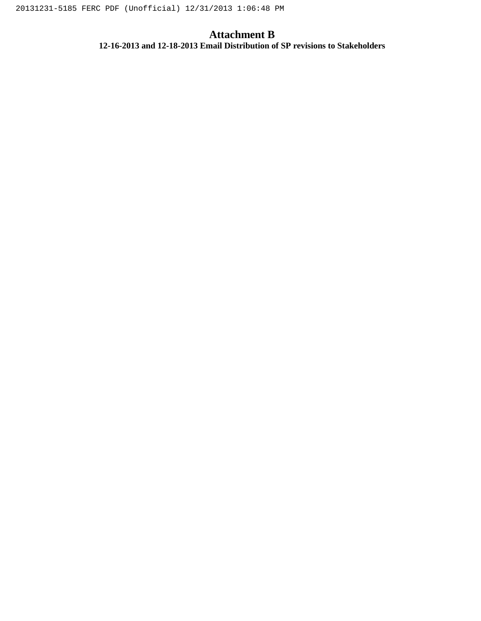# **Attachment B**

**12-16-2013 and 12-18-2013 Email Distribution of SP revisions to Stakeholders**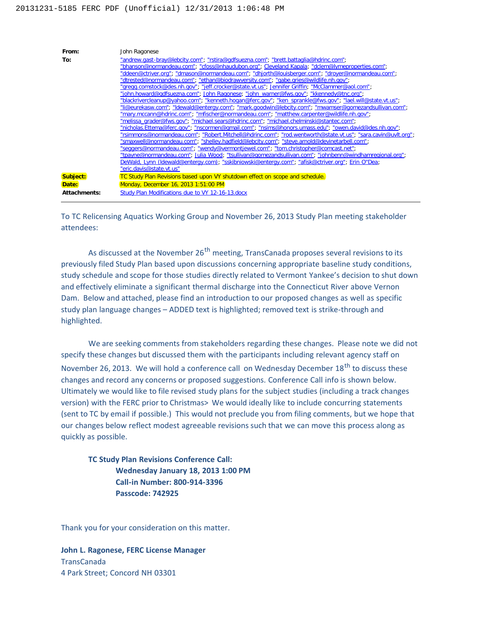

To TC Relicensing Aquatics Working Group and November 26, 2013 Study Plan meeting stakeholder attendees:

As discussed at the November  $26<sup>th</sup>$  meeting, TransCanada proposes several revisions to its previously filed Study Plan based upon discussions concerning appropriate baseline study conditions, study schedule and scope for those studies directly related to Vermont Yankee's decision to shut down and effectively eliminate a significant thermal discharge into the Connecticut River above Vernon Dam. Below and attached, please find an introduction to our proposed changes as well as specific study plan language changes – ADDED text is highlighted; removed text is strike-through and highlighted.

We are seeking comments from stakeholders regarding these changes. Please note we did not specify these changes but discussed them with the participants including relevant agency staff on November 26, 2013. We will hold a conference call on Wednesday December 18<sup>th</sup> to discuss these changes and record any concerns or proposed suggestions. Conference Call info is shown below. Ultimately we would like to file revised study plans for the subject studies (including a track changes version) with the FERC prior to Christmas> We would ideally like to include concurring statements (sent to TC by email if possible.) This would not preclude you from filing comments, but we hope that our changes below reflect modest agreeable revisions such that we can move this process along as quickly as possible.

**TC Study Plan Revisions Conference Call: Wednesday January 18, 2013 1:00 PM Call-in Number: 800-914-3396 Passcode: 742925**

Thank you for your consideration on this matter.

**John L. Ragonese, FERC License Manager** TransCanada 4 Park Street; Concord NH 03301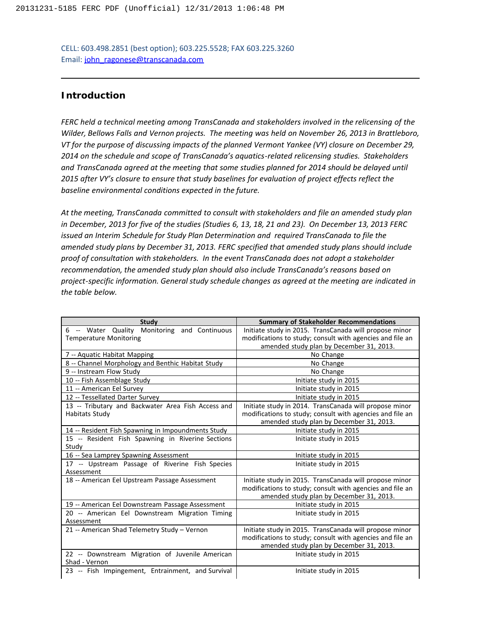CELL: 603.498.2851 (best option); 603.225.5528; FAX 603.225.3260 Email: [john\\_ragonese@transcanada.com](mailto:john_ragonese@transcanada.com)

### **Introduction**

*FERC held a technical meeting among TransCanada and stakeholders involved in the relicensing of the Wilder, Bellows Falls and Vernon projects. The meeting was held on November 26, 2013 in Brattleboro, VT for the purpose of discussing impacts of the planned Vermont Yankee (VY) closure on December 29, 2014 on the schedule and scope of TransCanada's aquatics-related relicensing studies. Stakeholders and TransCanada agreed at the meeting that some studies planned for 2014 should be delayed until 2015 after VY's closure to ensure that study baselines for evaluation of project effects reflect the baseline environmental conditions expected in the future.*

*At the meeting, TransCanada committed to consult with stakeholders and file an amended study plan in December, 2013 for five of the studies (Studies 6, 13, 18, 21 and 23). On December 13, 2013 FERC issued an Interim Schedule for Study Plan Determination and required TransCanada to file the amended study plans by December 31, 2013. FERC specified that amended study plans should include proof of consultation with stakeholders. In the event TransCanada does not adopt a stakeholder recommendation, the amended study plan should also include TransCanada's reasons based on project-specific information. General study schedule changes as agreed at the meeting are indicated in the table below.*

| <b>Summary of Stakeholder Recommendations</b><br>Study                                                       |  |
|--------------------------------------------------------------------------------------------------------------|--|
| 6 -- Water Quality<br>Monitoring and Continuous<br>Initiate study in 2015. TransCanada will propose minor    |  |
| modifications to study; consult with agencies and file an<br><b>Temperature Monitoring</b>                   |  |
| amended study plan by December 31, 2013.                                                                     |  |
| 7 -- Aquatic Habitat Mapping<br>No Change                                                                    |  |
| 8 -- Channel Morphology and Benthic Habitat Study<br>No Change                                               |  |
| 9 -- Instream Flow Study<br>No Change                                                                        |  |
| 10 -- Fish Assemblage Study<br>Initiate study in 2015                                                        |  |
| 11 -- American Eel Survey<br>Initiate study in 2015                                                          |  |
| 12 -- Tessellated Darter Survey<br>Initiate study in 2015                                                    |  |
| 13 -- Tributary and Backwater Area Fish Access and<br>Initiate study in 2014. TransCanada will propose minor |  |
| modifications to study; consult with agencies and file an<br>Habitats Study                                  |  |
| amended study plan by December 31, 2013.                                                                     |  |
| 14 -- Resident Fish Spawning in Impoundments Study<br>Initiate study in 2015                                 |  |
| 15 -- Resident Fish Spawning in Riverine Sections<br>Initiate study in 2015                                  |  |
| Study                                                                                                        |  |
| 16 -- Sea Lamprey Spawning Assessment<br>Initiate study in 2015                                              |  |
| 17 -- Upstream Passage of Riverine Fish Species<br>Initiate study in 2015                                    |  |
| Assessment                                                                                                   |  |
| 18 -- American Eel Upstream Passage Assessment<br>Initiate study in 2015. TransCanada will propose minor     |  |
| modifications to study; consult with agencies and file an                                                    |  |
| amended study plan by December 31, 2013.                                                                     |  |
| 19 -- American Eel Downstream Passage Assessment<br>Initiate study in 2015                                   |  |
| 20 -- American Eel Downstream Migration Timing<br>Initiate study in 2015                                     |  |
| Assessment                                                                                                   |  |
| Initiate study in 2015. TransCanada will propose minor<br>21 -- American Shad Telemetry Study - Vernon       |  |
| modifications to study; consult with agencies and file an                                                    |  |
| amended study plan by December 31, 2013.                                                                     |  |
| Initiate study in 2015<br>22 -- Downstream Migration of Juvenile American                                    |  |
| Shad - Vernon                                                                                                |  |
| 23 -- Fish Impingement, Entrainment, and Survival<br>Initiate study in 2015                                  |  |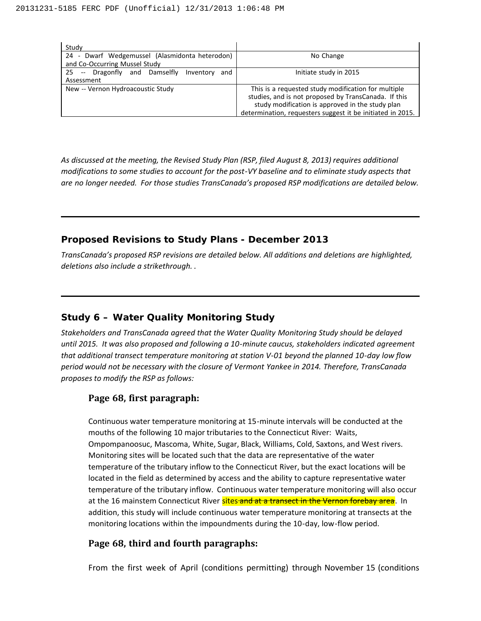| Study                                                |                                                            |
|------------------------------------------------------|------------------------------------------------------------|
| Dwarf Wedgemussel (Alasmidonta heterodon)<br>24 -    | No Change                                                  |
| and Co-Occurring Mussel Study                        |                                                            |
| -- Dragonfly and Damselfly<br>25<br>Inventory<br>and | Initiate study in 2015                                     |
| Assessment                                           |                                                            |
| New -- Vernon Hydroacoustic Study                    | This is a requested study modification for multiple        |
|                                                      | studies, and is not proposed by TransCanada. If this       |
|                                                      | study modification is approved in the study plan           |
|                                                      | determination, requesters suggest it be initiated in 2015. |

*As discussed at the meeting, the Revised Study Plan (RSP, filed August 8, 2013) requires additional modifications to some studies to account for the post-VY baseline and to eliminate study aspects that are no longer needed. For those studies TransCanada's proposed RSP modifications are detailed below.*

### **Proposed Revisions to Study Plans - December 2013**

*TransCanada's proposed RSP revisions are detailed below. All additions and deletions are highlighted, deletions also include a strikethrough. .*

# **Study 6 – Water Quality Monitoring Study**

*Stakeholders and TransCanada agreed that the Water Quality Monitoring Study should be delayed until 2015. It was also proposed and following a 10-minute caucus, stakeholders indicated agreement that additional transect temperature monitoring at station V-01 beyond the planned 10-day low flow period would not be necessary with the closure of Vermont Yankee in 2014. Therefore, TransCanada proposes to modify the RSP as follows:*

## **Page 68, first paragraph:**

Continuous water temperature monitoring at 15-minute intervals will be conducted at the mouths of the following 10 major tributaries to the Connecticut River: Waits, Ompompanoosuc, Mascoma, White, Sugar, Black, Williams, Cold, Saxtons, and West rivers. Monitoring sites will be located such that the data are representative of the water temperature of the tributary inflow to the Connecticut River, but the exact locations will be located in the field as determined by access and the ability to capture representative water temperature of the tributary inflow. Continuous water temperature monitoring will also occur at the 16 mainstem Connecticut River sites and at a transect in the Vernon forebay area. In addition, this study will include continuous water temperature monitoring at transects at the monitoring locations within the impoundments during the 10-day, low-flow period.

## **Page 68, third and fourth paragraphs:**

From the first week of April (conditions permitting) through November 15 (conditions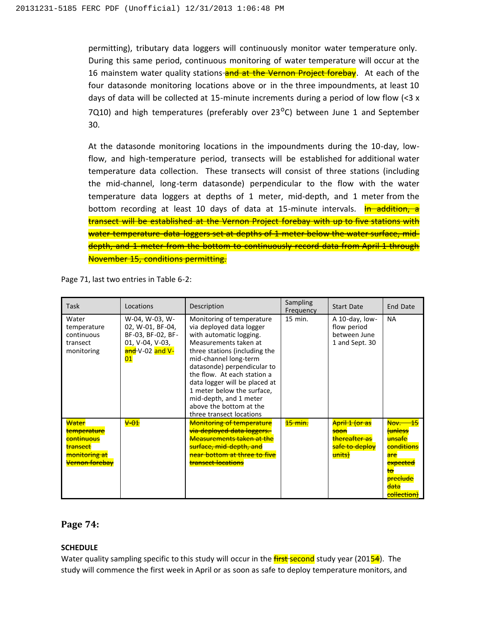permitting), tributary data loggers will continuously monitor water temperature only. During this same period, continuous monitoring of water temperature will occur at the 16 mainstem water quality stations-and at the Vernon Project forebay. At each of the four datasonde monitoring locations above or in the three impoundments, at least 10 days of data will be collected at 15-minute increments during a period of low flow  $\left($  < 3 x 7Q10) and high temperatures (preferably over  $23^{\circ}$ C) between June 1 and September 30.

At the datasonde monitoring locations in the impoundments during the 10-day, lowflow, and high-temperature period, transects will be established for additional water temperature data collection. These transects will consist of three stations (including the mid-channel, long-term datasonde) perpendicular to the flow with the water temperature data loggers at depths of 1 meter, mid-depth, and 1 meter from the bottom recording at least 10 days of data at 15-minute intervals. In addition, a transect will be established at the Vernon Project forebay with up to five stations with water temperature data loggers set at depths of 1 meter below the water surface, middepth, and 1 meter from the bottom to continuously record data from April 1 through November 15, conditions permitting.

Page 71, last two entries in Table 6-2:

| Task                                                                                                               | Locations                                                                                           | Description                                                                                                                                                                                                                                                                                                                                                                       | Sampling<br>Frequency | <b>Start Date</b>                                                                         | End Date                                                                                                                                                          |
|--------------------------------------------------------------------------------------------------------------------|-----------------------------------------------------------------------------------------------------|-----------------------------------------------------------------------------------------------------------------------------------------------------------------------------------------------------------------------------------------------------------------------------------------------------------------------------------------------------------------------------------|-----------------------|-------------------------------------------------------------------------------------------|-------------------------------------------------------------------------------------------------------------------------------------------------------------------|
| Water<br>temperature<br>continuous<br>transect<br>monitoring                                                       | W-04, W-03, W-<br>02, W-01, BF-04,<br>BF-03, BF-02, BF-<br>01, V-04, V-03,<br>and-V-02 and V-<br>01 | Monitoring of temperature<br>via deployed data logger<br>with automatic logging.<br>Measurements taken at<br>three stations (including the<br>mid-channel long-term<br>datasonde) perpendicular to<br>the flow. At each station a<br>data logger will be placed at<br>1 meter below the surface,<br>mid-depth, and 1 meter<br>above the bottom at the<br>three transect locations | $15$ min.             | A 10-day, low-<br>flow period<br>between June<br>1 and Sept. 30                           | <b>NA</b>                                                                                                                                                         |
| Water<br>temperature<br><del>continuous</del><br>transect<br><del>monitoring at</del><br><del>Vernon forebay</del> | $+01$                                                                                               | <b>Monitoring of temperature</b><br>via deployed data loggers.<br><b>Measurements taken at the</b><br><del>surface, mid-depth, and</del><br>near bottom at three to five<br><del>transect locations</del>                                                                                                                                                                         | <b>15 min.</b>        | <del>April 1 (or as</del><br><del>soon</del><br>thereafter as<br>safe to deploy<br>units) | Nov.<br>tunless<br><del>unsafe</del><br><b>conditions</b><br>are<br><del>expected</del><br><del>to</del><br><del>preclude</del><br><del>data</del><br>collection) |

#### **Page 74:**

#### **SCHEDULE**

Water quality sampling specific to this study will occur in the first second study year (20154). The study will commence the first week in April or as soon as safe to deploy temperature monitors, and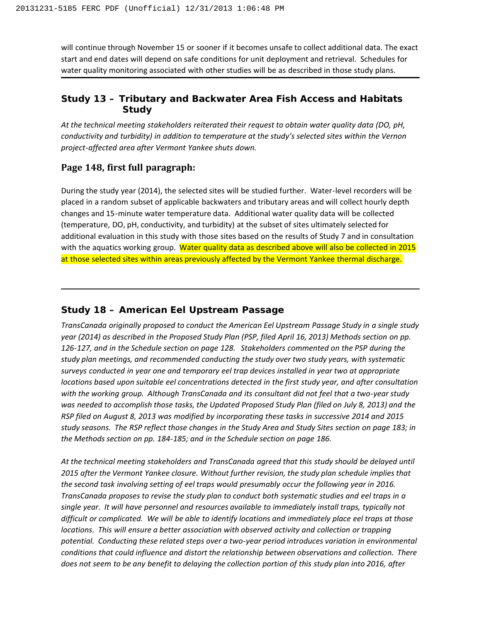will continue through November 15 or sooner if it becomes unsafe to collect additional data. The exact start and end dates will depend on safe conditions for unit deployment and retrieval. Schedules for water quality monitoring associated with other studies will be as described in those study plans.

## **Study 13 – Tributary and Backwater Area Fish Access and Habitats Study**

*At the technical meeting stakeholders reiterated their request to obtain water quality data (DO, pH, conductivity and turbidity) in addition to temperature at the study's selected sites within the Vernon project-affected area after Vermont Yankee shuts down.*

### **Page 148, first full paragraph:**

During the study year (2014), the selected sites will be studied further. Water-level recorders will be placed in a random subset of applicable backwaters and tributary areas and will collect hourly depth changes and 15-minute water temperature data. Additional water quality data will be collected (temperature, DO, pH, conductivity, and turbidity) at the subset of sites ultimately selected for additional evaluation in this study with those sites based on the results of Study 7 and in consultation with the aquatics working group. Water quality data as described above will also be collected in 2015 at those selected sites within areas previously affected by the Vermont Yankee thermal discharge.

## **Study 18 – American Eel Upstream Passage**

*TransCanada originally proposed to conduct the American Eel Upstream Passage Study in a single study year (2014) as described in the Proposed Study Plan (PSP, filed April 16, 2013) Methods section on pp. 126-127, and in the Schedule section on page 128. Stakeholders commented on the PSP during the study plan meetings, and recommended conducting the study over two study years, with systematic surveys conducted in year one and temporary eel trap devices installed in year two at appropriate locations based upon suitable eel concentrations detected in the first study year, and after consultation with the working group. Although TransCanada and its consultant did not feel that a two-year study was needed to accomplish those tasks, the Updated Proposed Study Plan (filed on July 8, 2013) and the RSP filed on August 8, 2013 was modified by incorporating these tasks in successive 2014 and 2015 study seasons. The RSP reflect those changes in the Study Area and Study Sites section on page 183; in the Methods section on pp. 184-185; and in the Schedule section on page 186.* 

*At the technical meeting stakeholders and TransCanada agreed that this study should be delayed until 2015 after the Vermont Yankee closure. Without further revision, the study plan schedule implies that the second task involving setting of eel traps would presumably occur the following year in 2016. TransCanada proposes to revise the study plan to conduct both systematic studies and eel traps in a single year. It will have personnel and resources available to immediately install traps, typically not difficult or complicated. We will be able to identify locations and immediately place eel traps at those locations. This will ensure a better association with observed activity and collection or trapping potential. Conducting these related steps over a two-year period introduces variation in environmental conditions that could influence and distort the relationship between observations and collection. There does not seem to be any benefit to delaying the collection portion of this study plan into 2016, after*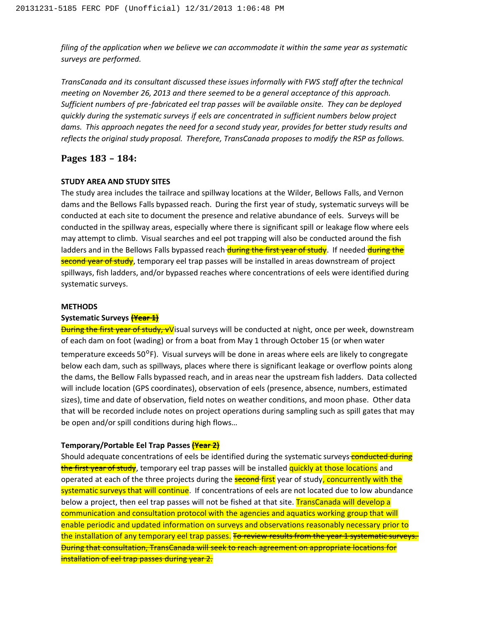*filing of the application when we believe we can accommodate it within the same year as systematic surveys are performed.*

*TransCanada and its consultant discussed these issues informally with FWS staff after the technical meeting on November 26, 2013 and there seemed to be a general acceptance of this approach. Sufficient numbers of pre-fabricated eel trap passes will be available onsite. They can be deployed quickly during the systematic surveys if eels are concentrated in sufficient numbers below project dams. This approach negates the need for a second study year, provides for better study results and reflects the original study proposal. Therefore, TransCanada proposes to modify the RSP as follows.* 

### **Pages 183 – 184:**

#### **STUDY AREA AND STUDY SITES**

The study area includes the tailrace and spillway locations at the Wilder, Bellows Falls, and Vernon dams and the Bellows Falls bypassed reach. During the first year of study, systematic surveys will be conducted at each site to document the presence and relative abundance of eels. Surveys will be conducted in the spillway areas, especially where there is significant spill or leakage flow where eels may attempt to climb. Visual searches and eel pot trapping will also be conducted around the fish ladders and in the Bellows Falls bypassed reach during the first year of study. If needed during the second year of study, temporary eel trap passes will be installed in areas downstream of project spillways, fish ladders, and/or bypassed reaches where concentrations of eels were identified during systematic surveys.

#### **METHODS**

#### **Systematic Surveys (Year 1)**

**During the first year of study, vV**isual surveys will be conducted at night, once per week, downstream of each dam on foot (wading) or from a boat from May 1 through October 15 (or when water temperature exceeds  $50^{\circ}$ F). Visual surveys will be done in areas where eels are likely to congregate below each dam, such as spillways, places where there is significant leakage or overflow points along the dams, the Bellow Falls bypassed reach, and in areas near the upstream fish ladders. Data collected will include location (GPS coordinates), observation of eels (presence, absence, numbers, estimated sizes), time and date of observation, field notes on weather conditions, and moon phase. Other data that will be recorded include notes on project operations during sampling such as spill gates that may be open and/or spill conditions during high flows…

#### **Temporary/Portable Eel Trap Passes (Year 2)**

Should adequate concentrations of eels be identified during the systematic surveys-conducted during the first year of study, temporary eel trap passes will be installed quickly at those locations and operated at each of the three projects during the **second first** year of study, concurrently with the systematic surveys that will continue. If concentrations of eels are not located due to low abundance below a project, then eel trap passes will not be fished at that site. TransCanada will develop a communication and consultation protocol with the agencies and aquatics working group that will enable periodic and updated information on surveys and observations reasonably necessary prior to the installation of any temporary eel trap passes. To review results from the year 1 systematic surveys. During that consultation, TransCanada will seek to reach agreement on appropriate locations for installation of eel trap passes during year 2.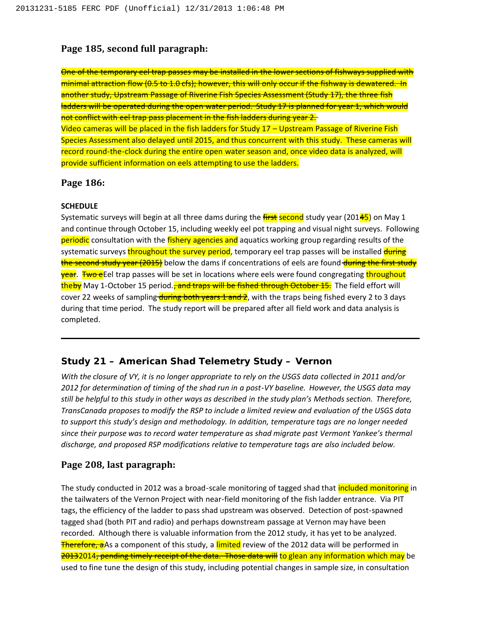## **Page 185, second full paragraph:**

One of the temporary eel trap passes may be installed in the lower sections of fishways supplied with minimal attraction flow (0.5 to 1.0 cfs); however, this will only occur if the fishway is dewatered. In another study, Upstream Passage of Riverine Fish Species Assessment (Study 17), the three fish ladders will be operated during the open water period. Study 17 is planned for year 1, which would not conflict with eel trap pass placement in the fish ladders during year 2. Video cameras will be placed in the fish ladders for Study 17 – Upstream Passage of Riverine Fish Species Assessment also delayed until 2015, and thus concurrent with this study. These cameras will record round-the-clock during the entire open water season and, once video data is analyzed, will provide sufficient information on eels attempting to use the ladders.

## **Page 186:**

#### **SCHEDULE**

Systematic surveys will begin at all three dams during the  $\frac{first}{s}$  second study year (20145) on May 1 and continue through October 15, including weekly eel pot trapping and visual night surveys. Following periodic consultation with the fishery agencies and aquatics working group regarding results of the systematic surveys throughout the survey period, temporary eel trap passes will be installed during the second study year (2015) below the dams if concentrations of eels are found during the first study **year. Two e**Eel trap passes will be set in locations where eels were found congregating throughout theby May 1-October 15 period.<del>, and traps will be fished through October 15.</del> The field effort will cover 22 weeks of sampling during both years 1 and 2, with the traps being fished every 2 to 3 days during that time period. The study report will be prepared after all field work and data analysis is completed.

# **Study 21 – American Shad Telemetry Study – Vernon**

*With the closure of VY, it is no longer appropriate to rely on the USGS data collected in 2011 and/or 2012 for determination of timing of the shad run in a post-VY baseline. However, the USGS data may still be helpful to this study in other ways as described in the study plan's Methods section. Therefore, TransCanada proposes to modify the RSP to include a limited review and evaluation of the USGS data to support this study's design and methodology. In addition, temperature tags are no longer needed since their purpose was to record water temperature as shad migrate past Vermont Yankee's thermal discharge, and proposed RSP modifications relative to temperature tags are also included below.*

## **Page 208, last paragraph:**

The study conducted in 2012 was a broad-scale monitoring of tagged shad that *included monitoring* in the tailwaters of the Vernon Project with near-field monitoring of the fish ladder entrance. Via PIT tags, the efficiency of the ladder to pass shad upstream was observed. Detection of post-spawned tagged shad (both PIT and radio) and perhaps downstream passage at Vernon may have been recorded. Although there is valuable information from the 2012 study, it has yet to be analyzed. Therefore, aAs a component of this study, a limited review of the 2012 data will be performed in 20132014, pending timely receipt of the data. Those data will to glean any information which may be used to fine tune the design of this study, including potential changes in sample size, in consultation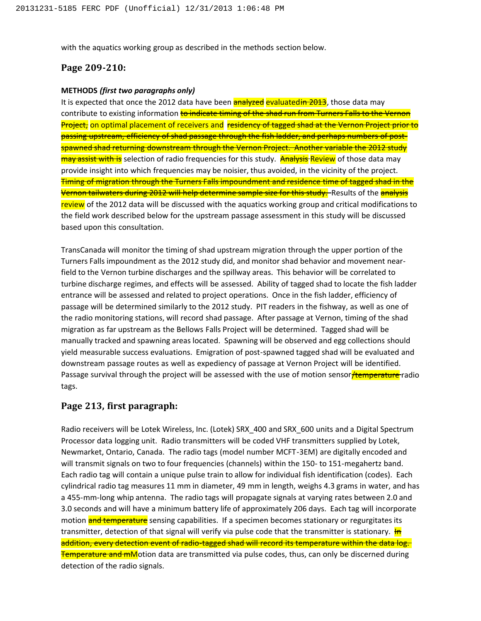with the aquatics working group as described in the methods section below.

### **Page 209-210:**

#### **METHODS** *(first two paragraphs only)*

It is expected that once the 2012 data have been **analyzed evaluatedin 2013**, those data may contribute to existing information to indicate timing of the shad run from Turners Falls to the Vernon Project, on optimal placement of receivers and residency of tagged shad at the Vernon Project prior to passing upstream, efficiency of shad passage through the fish ladder, and perhaps numbers of postspawned shad returning downstream through the Vernon Project. Another variable the 2012 study may assist with is selection of radio frequencies for this study. Analysis Review of those data may provide insight into which frequencies may be noisier, thus avoided, in the vicinity of the project. Timing of migration through the Turners Falls impoundment and residence time of tagged shad in the Vernon tailwaters during 2012 will help determine sample size for this study. Results of the analysis review of the 2012 data will be discussed with the aquatics working group and critical modifications to the field work described below for the upstream passage assessment in this study will be discussed based upon this consultation.

TransCanada will monitor the timing of shad upstream migration through the upper portion of the Turners Falls impoundment as the 2012 study did, and monitor shad behavior and movement nearfield to the Vernon turbine discharges and the spillway areas. This behavior will be correlated to turbine discharge regimes, and effects will be assessed. Ability of tagged shad to locate the fish ladder entrance will be assessed and related to project operations. Once in the fish ladder, efficiency of passage will be determined similarly to the 2012 study. PIT readers in the fishway, as well as one of the radio monitoring stations, will record shad passage. After passage at Vernon, timing of the shad migration as far upstream as the Bellows Falls Project will be determined. Tagged shad will be manually tracked and spawning areas located. Spawning will be observed and egg collections should yield measurable success evaluations. Emigration of post-spawned tagged shad will be evaluated and downstream passage routes as well as expediency of passage at Vernon Project will be identified. Passage survival through the project will be assessed with the use of motion sensor Hemperature radio tags.

#### **Page 213, first paragraph:**

Radio receivers will be Lotek Wireless, Inc. (Lotek) SRX 400 and SRX 600 units and a Digital Spectrum Processor data logging unit. Radio transmitters will be coded VHF transmitters supplied by Lotek, Newmarket, Ontario, Canada. The radio tags (model number MCFT-3EM) are digitally encoded and will transmit signals on two to four frequencies (channels) within the 150- to 151-megahertz band. Each radio tag will contain a unique pulse train to allow for individual fish identification (codes). Each cylindrical radio tag measures 11 mm in diameter, 49 mm in length, weighs 4.3 grams in water, and has a 455-mm-long whip antenna. The radio tags will propagate signals at varying rates between 2.0 and 3.0 seconds and will have a minimum battery life of approximately 206 days. Each tag will incorporate motion **and temperature** sensing capabilities. If a specimen becomes stationary or regurgitates its transmitter, detection of that signal will verify via pulse code that the transmitter is stationary.  $\frac{1}{10}$ addition, every detection event of radio-tagged shad will record its temperature within the data log. **Temperature and mM**otion data are transmitted via pulse codes, thus, can only be discerned during detection of the radio signals.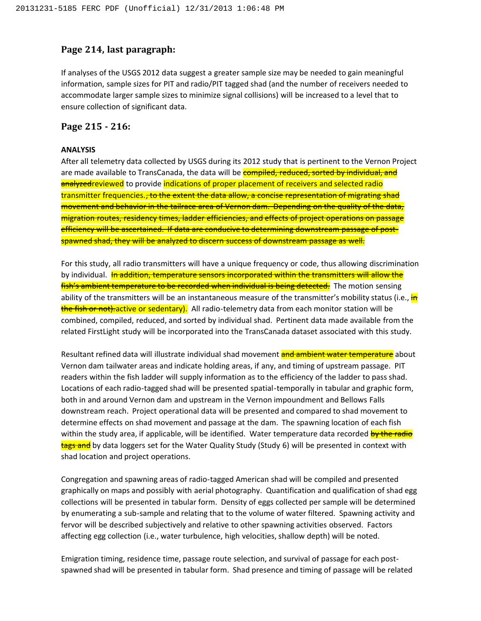#### **Page 214, last paragraph:**

If analyses of the USGS 2012 data suggest a greater sample size may be needed to gain meaningful information, sample sizes for PIT and radio/PIT tagged shad (and the number of receivers needed to accommodate larger sample sizes to minimize signal collisions) will be increased to a level that to ensure collection of significant data.

### **Page 215 - 216:**

#### **ANALYSIS**

After all telemetry data collected by USGS during its 2012 study that is pertinent to the Vernon Project are made available to TransCanada, the data will be **compiled, reduced, sorted by individual, and** analyzedreviewed to provide indications of proper placement of receivers and selected radio transmitter frequencies.<del>, to the extent the data allow, a concise representation of migrating shad</del> movement and behavior in the tailrace area of Vernon dam. Depending on the quality of the data, migration routes, residency times, ladder efficiencies, and effects of project operations on passage efficiency will be ascertained. If data are conducive to determining downstream passage of postspawned shad, they will be analyzed to discern success of downstream passage as well.

For this study, all radio transmitters will have a unique frequency or code, thus allowing discrimination by individual. In addition, temperature sensors incorporated within the transmitters will allow the fish's ambient temperature to be recorded when individual is being detected. The motion sensing ability of the transmitters will be an instantaneous measure of the transmitter's mobility status (i.e., in the fish or not). active or sedentary). All radio-telemetry data from each monitor station will be combined, compiled, reduced, and sorted by individual shad. Pertinent data made available from the related FirstLight study will be incorporated into the TransCanada dataset associated with this study.

Resultant refined data will illustrate individual shad movement and ambient water temperature about Vernon dam tailwater areas and indicate holding areas, if any, and timing of upstream passage. PIT readers within the fish ladder will supply information as to the efficiency of the ladder to pass shad. Locations of each radio-tagged shad will be presented spatial-temporally in tabular and graphic form, both in and around Vernon dam and upstream in the Vernon impoundment and Bellows Falls downstream reach. Project operational data will be presented and compared to shad movement to determine effects on shad movement and passage at the dam. The spawning location of each fish within the study area, if applicable, will be identified. Water temperature data recorded by the radio tags and by data loggers set for the Water Quality Study (Study 6) will be presented in context with shad location and project operations.

Congregation and spawning areas of radio-tagged American shad will be compiled and presented graphically on maps and possibly with aerial photography. Quantification and qualification of shad egg collections will be presented in tabular form. Density of eggs collected per sample will be determined by enumerating a sub-sample and relating that to the volume of water filtered. Spawning activity and fervor will be described subjectively and relative to other spawning activities observed. Factors affecting egg collection (i.e., water turbulence, high velocities, shallow depth) will be noted.

Emigration timing, residence time, passage route selection, and survival of passage for each postspawned shad will be presented in tabular form. Shad presence and timing of passage will be related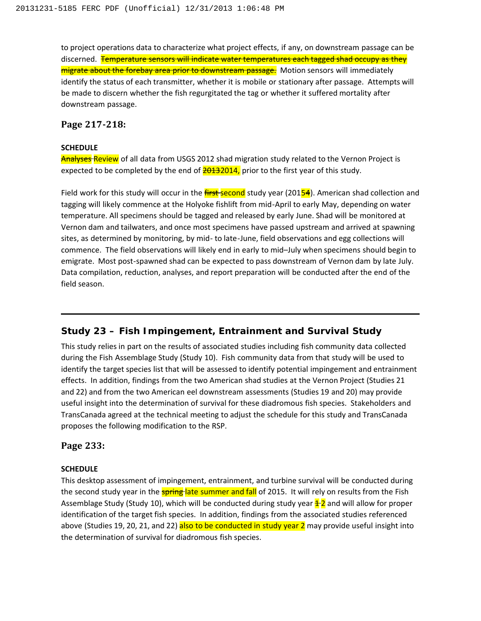to project operations data to characterize what project effects, if any, on downstream passage can be discerned. Temperature sensors will indicate water temperatures each tagged shad occupy as they migrate about the forebay area prior to downstream passage. Motion sensors will immediately identify the status of each transmitter, whether it is mobile or stationary after passage. Attempts will be made to discern whether the fish regurgitated the tag or whether it suffered mortality after downstream passage.

## **Page 217-218:**

#### **SCHEDULE**

**Analyses Review** of all data from USGS 2012 shad migration study related to the Vernon Project is expected to be completed by the end of  $\frac{20132014}{20132014}$ , prior to the first year of this study.

Field work for this study will occur in the **first-second** study year (20154). American shad collection and tagging will likely commence at the Holyoke fishlift from mid-April to early May, depending on water temperature. All specimens should be tagged and released by early June. Shad will be monitored at Vernon dam and tailwaters, and once most specimens have passed upstream and arrived at spawning sites, as determined by monitoring, by mid- to late-June, field observations and egg collections will commence. The field observations will likely end in early to mid–July when specimens should begin to emigrate. Most post-spawned shad can be expected to pass downstream of Vernon dam by late July. Data compilation, reduction, analyses, and report preparation will be conducted after the end of the field season.

# **Study 23 – Fish Impingement, Entrainment and Survival Study**

This study relies in part on the results of associated studies including fish community data collected during the Fish Assemblage Study (Study 10). Fish community data from that study will be used to identify the target species list that will be assessed to identify potential impingement and entrainment effects. In addition, findings from the two American shad studies at the Vernon Project (Studies 21 and 22) and from the two American eel downstream assessments (Studies 19 and 20) may provide useful insight into the determination of survival for these diadromous fish species. Stakeholders and TransCanada agreed at the technical meeting to adjust the schedule for this study and TransCanada proposes the following modification to the RSP.

## **Page 233:**

#### **SCHEDULE**

This desktop assessment of impingement, entrainment, and turbine survival will be conducted during the second study year in the **spring-late summer and fall** of 2015. It will rely on results from the Fish Assemblage Study (Study 10), which will be conducted during study year  $\pm 2$  and will allow for proper identification of the target fish species. In addition, findings from the associated studies referenced above (Studies 19, 20, 21, and 22) also to be conducted in study year 2 may provide useful insight into the determination of survival for diadromous fish species.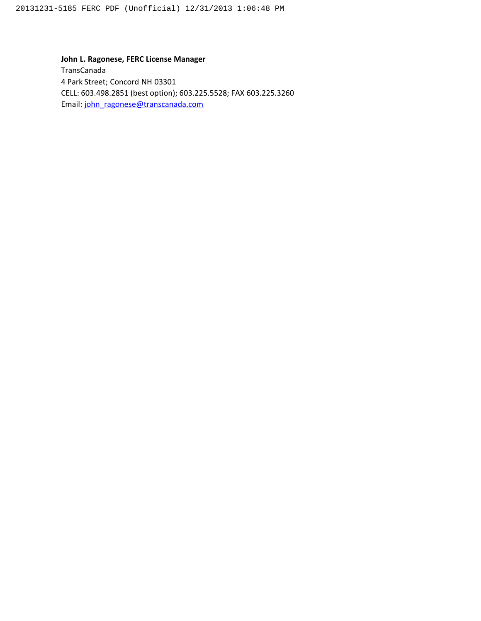**John L. Ragonese, FERC License Manager** TransCanada 4 Park Street; Concord NH 03301 CELL: 603.498.2851 (best option); 603.225.5528; FAX 603.225.3260 Email: [john\\_ragonese@transcanada.com](mailto:john_ragonese@transcanada.com)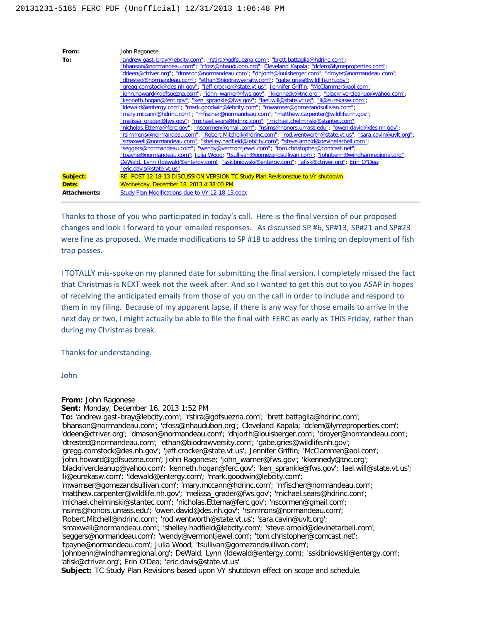

Thanks to those of you who participated in today's call. Here is the final version of our proposed changes and look I forward to your emailed responses. As discussed SP #6, SP#13, SP#21 and SP#23 were fine as proposed. We made modifications to SP #18 to address the timing on deployment of fish trap passes.

I TOTALLY mis-spoke on my planned date for submitting the final version. I completely missed the fact that Christmas is NEXT week not the week after. And so I wanted to get this out to you ASAP in hopes of receiving the anticipated emails from those of you on the call in order to include and respond to them in my filing. Because of my apparent lapse, if there is any way for those emails to arrive in the next day or two, I might actually be able to file the final with FERC as early as THIS Friday, rather than during my Christmas break.

Thanks for understanding.

John

**From:** John Ragonese

**Sent:** Monday, December 16, 2013 1:52 PM

**To:** 'andrew.gast-bray@lebcity.com'; 'rstira@gdfsuezna.com'; 'brett.battaglia@hdrinc.com';

'bhanson@normandeau.com'; 'cfoss@nhaudubon.org'; Cleveland Kapala; 'dclem@lymeproperties.com';

'ddeen@ctriver.org'; 'dmason@normandeau.com'; 'dhjorth@louisberger.com'; 'droyer@normandeau.com'; 'dtrested@normandeau.com'; 'ethan@biodrawversity.com'; 'gabe.gries@wildlife.nh.gov';

'gregg.comstock@des.nh.gov'; 'jeff.crocker@state.vt.us'; Jennifer Griffin; 'McClammer@aol.com';

'john.howard@gdfsuezna.com'; John Ragonese; 'john\_warner@fws.gov'; 'kkennedy@tnc.org';

'blackrivercleanup@yahoo.com'; 'kenneth.hogan@ferc.gov'; 'ken\_sprankle@fws.gov'; 'lael.will@state.vt.us'; 'li@eurekasw.com'; 'ldewald@entergy.com'; 'mark.goodwin@lebcity.com';

'mwamser@gomezandsullivan.com'; 'mary.mccann@hdrinc.com'; 'mfischer@normandeau.com';

'matthew.carpenter@wildlife.nh.gov'; 'melissa\_grader@fws.gov'; 'michael.sears@hdrinc.com';

'michael.chelminski@stantec.com'; 'nicholas.Ettema@ferc.gov'; 'nscormen@gmail.com';

'nsims@honors.umass.edu'; 'owen.david@des.nh.gov'; 'rsimmons@normandeau.com';

'Robert.Mitchell@hdrinc.com'; 'rod.wentworth@state.vt.us'; 'sara.cavin@uvlt.org';

'smaxwell@normandeau.com'; 'shelley.hadfield@lebcity.com'; 'steve.arnold@devinetarbell.com';

'seggers@normandeau.com'; 'wendy@vermontjewel.com'; 'tom.christopher@comcast.net';

'tpayne@normandeau.com'; Julia Wood; 'tsullivan@gomezandsullivan.com';

'johnbenn@windhamregional.org'; DeWald, Lynn (ldewald@entergy.com); 'sskibniowski@entergy.com'; 'afisk@ctriver.org'; Erin O'Dea; 'eric.davis@state.vt.us'

**Subject:** TC Study Plan Revisions based upon VY shutdown effect on scope and schedule.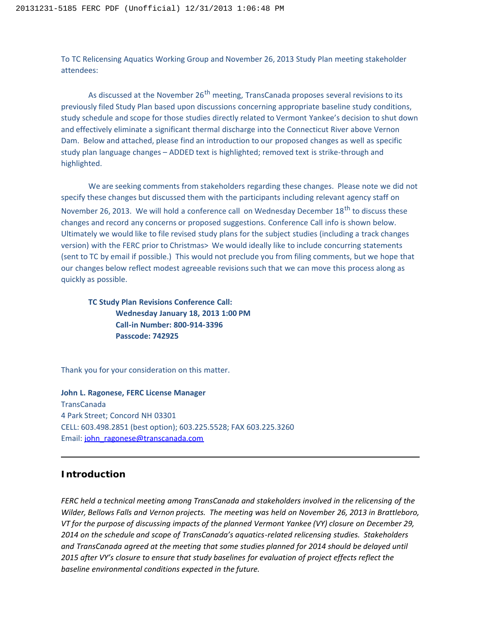To TC Relicensing Aquatics Working Group and November 26, 2013 Study Plan meeting stakeholder attendees:

As discussed at the November  $26<sup>th</sup>$  meeting, TransCanada proposes several revisions to its previously filed Study Plan based upon discussions concerning appropriate baseline study conditions, study schedule and scope for those studies directly related to Vermont Yankee's decision to shut down and effectively eliminate a significant thermal discharge into the Connecticut River above Vernon Dam. Below and attached, please find an introduction to our proposed changes as well as specific study plan language changes – ADDED text is highlighted; removed text is strike-through and highlighted.

We are seeking comments from stakeholders regarding these changes. Please note we did not specify these changes but discussed them with the participants including relevant agency staff on November 26, 2013. We will hold a conference call on Wednesday December 18<sup>th</sup> to discuss these changes and record any concerns or proposed suggestions. Conference Call info is shown below. Ultimately we would like to file revised study plans for the subject studies (including a track changes version) with the FERC prior to Christmas> We would ideally like to include concurring statements (sent to TC by email if possible.) This would not preclude you from filing comments, but we hope that our changes below reflect modest agreeable revisions such that we can move this process along as quickly as possible.

**TC Study Plan Revisions Conference Call: Wednesday January 18, 2013 1:00 PM Call-in Number: 800-914-3396 Passcode: 742925**

Thank you for your consideration on this matter.

**John L. Ragonese, FERC License Manager** TransCanada 4 Park Street; Concord NH 03301 CELL: 603.498.2851 (best option); 603.225.5528; FAX 603.225.3260 Email: [john\\_ragonese@transcanada.com](mailto:john_ragonese@transcanada.com)

#### **Introduction**

*FERC held a technical meeting among TransCanada and stakeholders involved in the relicensing of the Wilder, Bellows Falls and Vernon projects. The meeting was held on November 26, 2013 in Brattleboro, VT for the purpose of discussing impacts of the planned Vermont Yankee (VY) closure on December 29, 2014 on the schedule and scope of TransCanada's aquatics-related relicensing studies. Stakeholders and TransCanada agreed at the meeting that some studies planned for 2014 should be delayed until 2015 after VY's closure to ensure that study baselines for evaluation of project effects reflect the baseline environmental conditions expected in the future.*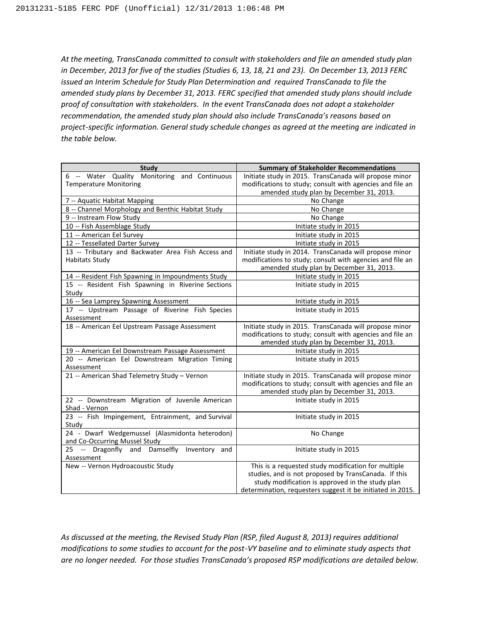*At the meeting, TransCanada committed to consult with stakeholders and file an amended study plan in December, 2013 for five of the studies (Studies 6, 13, 18, 21 and 23). On December 13, 2013 FERC issued an Interim Schedule for Study Plan Determination and required TransCanada to file the amended study plans by December 31, 2013. FERC specified that amended study plans should include proof of consultation with stakeholders. In the event TransCanada does not adopt a stakeholder recommendation, the amended study plan should also include TransCanada's reasons based on project-specific information. General study schedule changes as agreed at the meeting are indicated in the table below.*

| <b>Study</b>                                                  | <b>Summary of Stakeholder Recommendations</b>              |
|---------------------------------------------------------------|------------------------------------------------------------|
| 6 -- Water Quality Monitoring and Continuous                  | Initiate study in 2015. TransCanada will propose minor     |
| <b>Temperature Monitoring</b>                                 | modifications to study; consult with agencies and file an  |
|                                                               | amended study plan by December 31, 2013.                   |
| 7 -- Aquatic Habitat Mapping                                  | No Change                                                  |
| 8 -- Channel Morphology and Benthic Habitat Study             | No Change                                                  |
| 9 -- Instream Flow Study                                      | No Change                                                  |
| 10 -- Fish Assemblage Study                                   | Initiate study in 2015                                     |
| 11 -- American Eel Survey                                     | Initiate study in 2015                                     |
| 12 -- Tessellated Darter Survey                               | Initiate study in 2015                                     |
| 13 -- Tributary and Backwater Area Fish Access and            | Initiate study in 2014. TransCanada will propose minor     |
| <b>Habitats Study</b>                                         | modifications to study; consult with agencies and file an  |
|                                                               | amended study plan by December 31, 2013.                   |
| 14 -- Resident Fish Spawning in Impoundments Study            | Initiate study in 2015                                     |
| 15 -- Resident Fish Spawning in Riverine Sections             | Initiate study in 2015                                     |
| Study                                                         |                                                            |
| 16 -- Sea Lamprey Spawning Assessment                         | Initiate study in 2015                                     |
| 17 -- Upstream Passage of Riverine Fish Species<br>Assessment | Initiate study in 2015                                     |
| 18 -- American Eel Upstream Passage Assessment                | Initiate study in 2015. TransCanada will propose minor     |
|                                                               | modifications to study; consult with agencies and file an  |
|                                                               | amended study plan by December 31, 2013.                   |
| 19 -- American Eel Downstream Passage Assessment              | Initiate study in 2015                                     |
| 20 -- American Eel Downstream Migration Timing                | Initiate study in 2015                                     |
| Assessment                                                    |                                                            |
| 21 -- American Shad Telemetry Study - Vernon                  | Initiate study in 2015. TransCanada will propose minor     |
|                                                               | modifications to study; consult with agencies and file an  |
|                                                               | amended study plan by December 31, 2013.                   |
| 22 -- Downstream Migration of Juvenile American               | Initiate study in 2015                                     |
| Shad - Vernon                                                 |                                                            |
| 23 -- Fish Impingement, Entrainment, and Survival             | Initiate study in 2015                                     |
| Study                                                         |                                                            |
| 24 - Dwarf Wedgemussel (Alasmidonta heterodon)                | No Change                                                  |
| and Co-Occurring Mussel Study                                 |                                                            |
| 25 -- Dragonfly and Damselfly Inventory and                   | Initiate study in 2015                                     |
| Assessment                                                    |                                                            |
| New -- Vernon Hydroacoustic Study                             | This is a requested study modification for multiple        |
|                                                               | studies, and is not proposed by TransCanada. If this       |
|                                                               | study modification is approved in the study plan           |
|                                                               | determination, requesters suggest it be initiated in 2015. |

*As discussed at the meeting, the Revised Study Plan (RSP, filed August 8, 2013) requires additional modifications to some studies to account for the post-VY baseline and to eliminate study aspects that are no longer needed. For those studies TransCanada's proposed RSP modifications are detailed below.*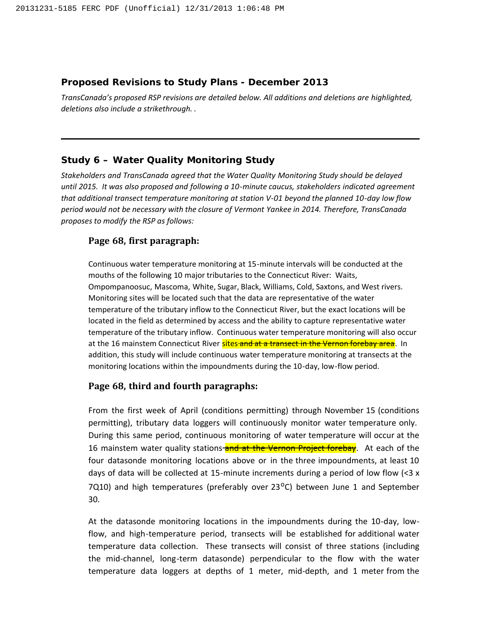## **Proposed Revisions to Study Plans - December 2013**

*TransCanada's proposed RSP revisions are detailed below. All additions and deletions are highlighted, deletions also include a strikethrough. .*

# **Study 6 – Water Quality Monitoring Study**

*Stakeholders and TransCanada agreed that the Water Quality Monitoring Study should be delayed until 2015. It was also proposed and following a 10-minute caucus, stakeholders indicated agreement that additional transect temperature monitoring at station V-01 beyond the planned 10-day low flow period would not be necessary with the closure of Vermont Yankee in 2014. Therefore, TransCanada proposes to modify the RSP as follows:*

# **Page 68, first paragraph:**

Continuous water temperature monitoring at 15-minute intervals will be conducted at the mouths of the following 10 major tributaries to the Connecticut River: Waits, Ompompanoosuc, Mascoma, White, Sugar, Black, Williams, Cold, Saxtons, and West rivers. Monitoring sites will be located such that the data are representative of the water temperature of the tributary inflow to the Connecticut River, but the exact locations will be located in the field as determined by access and the ability to capture representative water temperature of the tributary inflow. Continuous water temperature monitoring will also occur at the 16 mainstem Connecticut River sites and at a transect in the Vernon forebay area. In addition, this study will include continuous water temperature monitoring at transects at the monitoring locations within the impoundments during the 10-day, low-flow period.

# **Page 68, third and fourth paragraphs:**

From the first week of April (conditions permitting) through November 15 (conditions permitting), tributary data loggers will continuously monitor water temperature only. During this same period, continuous monitoring of water temperature will occur at the 16 mainstem water quality stations-and at the Vernon Project forebay. At each of the four datasonde monitoring locations above or in the three impoundments, at least 10 days of data will be collected at 15-minute increments during a period of low flow  $\left($  < 3 x 7Q10) and high temperatures (preferably over  $23^{\circ}$ C) between June 1 and September 30.

At the datasonde monitoring locations in the impoundments during the 10-day, lowflow, and high-temperature period, transects will be established for additional water temperature data collection. These transects will consist of three stations (including the mid-channel, long-term datasonde) perpendicular to the flow with the water temperature data loggers at depths of 1 meter, mid-depth, and 1 meter from the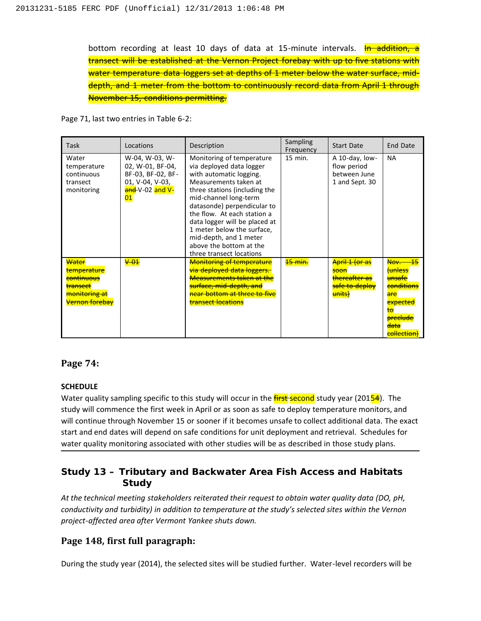bottom recording at least 10 days of data at 15-minute intervals. In addition, a transect will be established at the Vernon Project forebay with up to five stations with water temperature data loggers set at depths of 1 meter below the water surface, middepth, and 1 meter from the bottom to continuously record data from April 1 through November 15, conditions permitting.

Page 71, last two entries in Table 6-2:

| Task                                                                                                           | Locations                                                                                           | Description                                                                                                                                                                                                                                                                                                                                                                       | Sampling<br>Frequency | <b>Start Date</b>                                                              | End Date                                                                                                                                                                    |
|----------------------------------------------------------------------------------------------------------------|-----------------------------------------------------------------------------------------------------|-----------------------------------------------------------------------------------------------------------------------------------------------------------------------------------------------------------------------------------------------------------------------------------------------------------------------------------------------------------------------------------|-----------------------|--------------------------------------------------------------------------------|-----------------------------------------------------------------------------------------------------------------------------------------------------------------------------|
| Water<br>temperature<br>continuous<br>transect<br>monitoring                                                   | W-04, W-03, W-<br>02, W-01, BF-04,<br>BF-03, BF-02, BF-<br>01, V-04, V-03,<br>and-V-02 and V-<br>01 | Monitoring of temperature<br>via deployed data logger<br>with automatic logging.<br>Measurements taken at<br>three stations (including the<br>mid-channel long-term<br>datasonde) perpendicular to<br>the flow. At each station a<br>data logger will be placed at<br>1 meter below the surface,<br>mid-depth, and 1 meter<br>above the bottom at the<br>three transect locations | $15$ min.             | A 10-day, low-<br>flow period<br>between June<br>1 and Sept. 30                | <b>NA</b>                                                                                                                                                                   |
| Water<br>temperature<br><del>continuous</del><br>transect<br><del>monitoring at</del><br><b>Vernon forebav</b> | $-\theta$ <sup>+</sup>                                                                              | <b>Monitoring of temperature</b><br><del>via deploved data loggers.</del><br><b>Measurements taken at the</b><br>surface, mid-depth, and<br>near bottom at three to five<br>transect locations                                                                                                                                                                                    | <del>15 min.</del>    | April 1 (or as<br><del>soon</del><br>thereafter as<br>safe to deploy<br>units) | $\overline{45}$<br><del>Nov. .</del><br>tunless<br><del>unsafe</del><br>conditions<br>are<br><del>expected</del><br><del>to</del><br><b>preclude</b><br>data<br>collection) |

## **Page 74:**

## **SCHEDULE**

Water quality sampling specific to this study will occur in the *first* second study year (20154). The study will commence the first week in April or as soon as safe to deploy temperature monitors, and will continue through November 15 or sooner if it becomes unsafe to collect additional data. The exact start and end dates will depend on safe conditions for unit deployment and retrieval. Schedules for water quality monitoring associated with other studies will be as described in those study plans.

# **Study 13 – Tributary and Backwater Area Fish Access and Habitats Study**

*At the technical meeting stakeholders reiterated their request to obtain water quality data (DO, pH, conductivity and turbidity) in addition to temperature at the study's selected sites within the Vernon project-affected area after Vermont Yankee shuts down.*

# **Page 148, first full paragraph:**

During the study year (2014), the selected sites will be studied further. Water-level recorders will be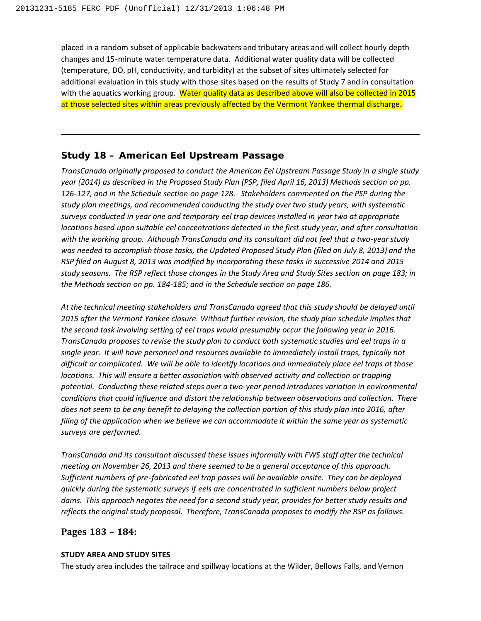placed in a random subset of applicable backwaters and tributary areas and will collect hourly depth changes and 15-minute water temperature data. Additional water quality data will be collected (temperature, DO, pH, conductivity, and turbidity) at the subset of sites ultimately selected for additional evaluation in this study with those sites based on the results of Study 7 and in consultation with the aquatics working group. Water quality data as described above will also be collected in 2015 at those selected sites within areas previously affected by the Vermont Yankee thermal discharge.

## **Study 18 – American Eel Upstream Passage**

*TransCanada originally proposed to conduct the American Eel Upstream Passage Study in a single study year (2014) as described in the Proposed Study Plan (PSP, filed April 16, 2013) Methods section on pp. 126-127, and in the Schedule section on page 128. Stakeholders commented on the PSP during the study plan meetings, and recommended conducting the study over two study years, with systematic surveys conducted in year one and temporary eel trap devices installed in year two at appropriate locations based upon suitable eel concentrations detected in the first study year, and after consultation with the working group. Although TransCanada and its consultant did not feel that a two-year study was needed to accomplish those tasks, the Updated Proposed Study Plan (filed on July 8, 2013) and the RSP filed on August 8, 2013 was modified by incorporating these tasks in successive 2014 and 2015 study seasons. The RSP reflect those changes in the Study Area and Study Sites section on page 183; in the Methods section on pp. 184-185; and in the Schedule section on page 186.* 

*At the technical meeting stakeholders and TransCanada agreed that this study should be delayed until 2015 after the Vermont Yankee closure. Without further revision, the study plan schedule implies that the second task involving setting of eel traps would presumably occur the following year in 2016. TransCanada proposes to revise the study plan to conduct both systematic studies and eel traps in a single year. It will have personnel and resources available to immediately install traps, typically not difficult or complicated. We will be able to identify locations and immediately place eel traps at those locations. This will ensure a better association with observed activity and collection or trapping potential. Conducting these related steps over a two-year period introduces variation in environmental conditions that could influence and distort the relationship between observations and collection. There does not seem to be any benefit to delaying the collection portion of this study plan into 2016, after filing of the application when we believe we can accommodate it within the same year as systematic surveys are performed.*

*TransCanada and its consultant discussed these issues informally with FWS staff after the technical meeting on November 26, 2013 and there seemed to be a general acceptance of this approach. Sufficient numbers of pre-fabricated eel trap passes will be available onsite. They can be deployed quickly during the systematic surveys if eels are concentrated in sufficient numbers below project dams. This approach negates the need for a second study year, provides for better study results and reflects the original study proposal. Therefore, TransCanada proposes to modify the RSP as follows.* 

## **Pages 183 – 184:**

#### **STUDY AREA AND STUDY SITES**

The study area includes the tailrace and spillway locations at the Wilder, Bellows Falls, and Vernon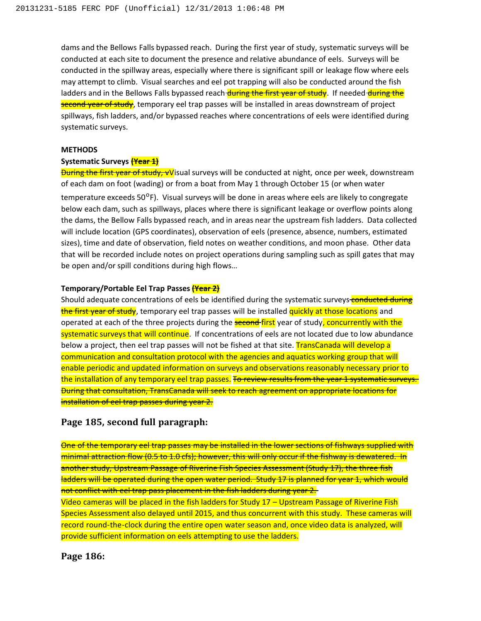dams and the Bellows Falls bypassed reach. During the first year of study, systematic surveys will be conducted at each site to document the presence and relative abundance of eels. Surveys will be conducted in the spillway areas, especially where there is significant spill or leakage flow where eels may attempt to climb. Visual searches and eel pot trapping will also be conducted around the fish ladders and in the Bellows Falls bypassed reach during the first year of study. If needed during the second vear of study, temporary eel trap passes will be installed in areas downstream of project spillways, fish ladders, and/or bypassed reaches where concentrations of eels were identified during systematic surveys.

#### **METHODS**

#### **Systematic Surveys (Year 1)**

**During the first year of study, vV**isual surveys will be conducted at night, once per week, downstream of each dam on foot (wading) or from a boat from May 1 through October 15 (or when water temperature exceeds  $50^{\circ}$ F). Visual surveys will be done in areas where eels are likely to congregate below each dam, such as spillways, places where there is significant leakage or overflow points along the dams, the Bellow Falls bypassed reach, and in areas near the upstream fish ladders. Data collected will include location (GPS coordinates), observation of eels (presence, absence, numbers, estimated sizes), time and date of observation, field notes on weather conditions, and moon phase. Other data that will be recorded include notes on project operations during sampling such as spill gates that may be open and/or spill conditions during high flows…

#### **Temporary/Portable Eel Trap Passes (Year 2)**

Should adequate concentrations of eels be identified during the systematic surveys conducted during the first year of study, temporary eel trap passes will be installed quickly at those locations and operated at each of the three projects during the **second-first** year of study, concurrently with the systematic surveys that will continue. If concentrations of eels are not located due to low abundance below a project, then eel trap passes will not be fished at that site. **TransCanada will develop a** communication and consultation protocol with the agencies and aquatics working group that will enable periodic and updated information on surveys and observations reasonably necessary prior to the installation of any temporary eel trap passes. To review results from the year 1 systematic surveys. During that consultation, TransCanada will seek to reach agreement on appropriate locations for installation of eel trap passes during year 2.

#### **Page 185, second full paragraph:**

One of the temporary eel trap passes may be installed in the lower sections of fishways supplied with minimal attraction flow (0.5 to 1.0 cfs); however, this will only occur if the fishway is dewatered. In another study, Upstream Passage of Riverine Fish Species Assessment (Study 17), the three fish ladders will be operated during the open water period. Study 17 is planned for year 1, which would not conflict with eel trap pass placement in the fish ladders during year 2. Video cameras will be placed in the fish ladders for Study 17 – Upstream Passage of Riverine Fish Species Assessment also delayed until 2015, and thus concurrent with this study. These cameras will record round-the-clock during the entire open water season and, once video data is analyzed, will provide sufficient information on eels attempting to use the ladders.

#### **Page 186:**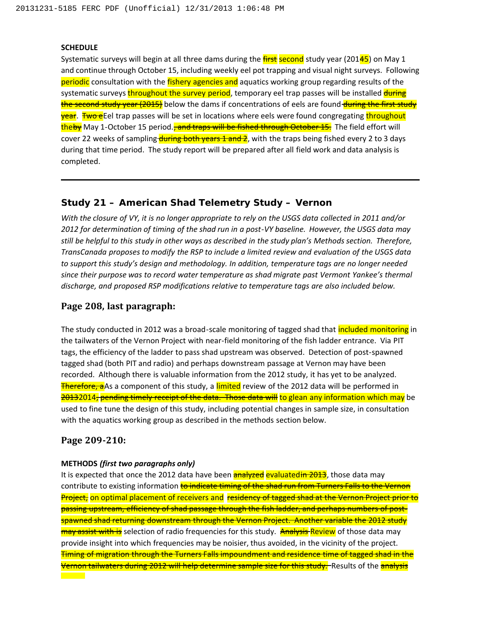#### **SCHEDULE**

Systematic surveys will begin at all three dams during the  $\frac{first}{s}$  second study year (20145) on May 1 and continue through October 15, including weekly eel pot trapping and visual night surveys. Following periodic consultation with the fishery agencies and aquatics working group regarding results of the systematic surveys throughout the survey period, temporary eel trap passes will be installed during the second study year (2015) below the dams if concentrations of eels are found during the first study year. Two eEel trap passes will be set in locations where eels were found congregating throughout theby May 1-October 15 period., and traps will be fished through October 15. The field effort will cover 22 weeks of sampling during both years 1 and 2, with the traps being fished every 2 to 3 days during that time period. The study report will be prepared after all field work and data analysis is completed.

### **Study 21 – American Shad Telemetry Study – Vernon**

*With the closure of VY, it is no longer appropriate to rely on the USGS data collected in 2011 and/or 2012 for determination of timing of the shad run in a post-VY baseline. However, the USGS data may still be helpful to this study in other ways as described in the study plan's Methods section. Therefore, TransCanada proposes to modify the RSP to include a limited review and evaluation of the USGS data to support this study's design and methodology. In addition, temperature tags are no longer needed since their purpose was to record water temperature as shad migrate past Vermont Yankee's thermal discharge, and proposed RSP modifications relative to temperature tags are also included below.*

#### **Page 208, last paragraph:**

The study conducted in 2012 was a broad-scale monitoring of tagged shad that *included monitoring* in the tailwaters of the Vernon Project with near-field monitoring of the fish ladder entrance. Via PIT tags, the efficiency of the ladder to pass shad upstream was observed. Detection of post-spawned tagged shad (both PIT and radio) and perhaps downstream passage at Vernon may have been recorded. Although there is valuable information from the 2012 study, it has yet to be analyzed. **Therefore, a**As a component of this study, a limited review of the 2012 data will be performed in 20132014, pending timely receipt of the data. Those data will to glean any information which may be used to fine tune the design of this study, including potential changes in sample size, in consultation with the aquatics working group as described in the methods section below.

#### **Page 209-210:**

#### **METHODS** *(first two paragraphs only)*

It is expected that once the 2012 data have been **analyzed evaluatedin 2013**, those data may contribute to existing information to indicate timing of the shad run from Turners Falls to the Vernon Project, on optimal placement of receivers and residency of tagged shad at the Vernon Project prior to passing upstream, efficiency of shad passage through the fish ladder, and perhaps numbers of postspawned shad returning downstream through the Vernon Project. Another variable the 2012 study may assist with is selection of radio frequencies for this study. Analysis Review of those data may provide insight into which frequencies may be noisier, thus avoided, in the vicinity of the project. Timing of migration through the Turners Falls impoundment and residence time of tagged shad in the Vernon tailwaters during 2012 will help determine sample size for this study. Results of the analysis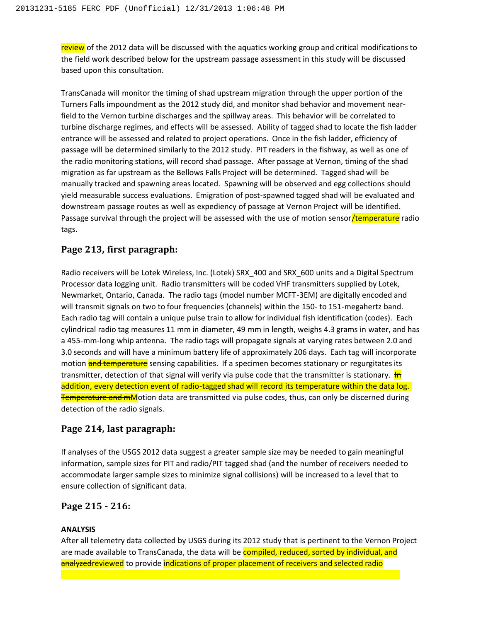review of the 2012 data will be discussed with the aquatics working group and critical modifications to the field work described below for the upstream passage assessment in this study will be discussed based upon this consultation.

TransCanada will monitor the timing of shad upstream migration through the upper portion of the Turners Falls impoundment as the 2012 study did, and monitor shad behavior and movement nearfield to the Vernon turbine discharges and the spillway areas. This behavior will be correlated to turbine discharge regimes, and effects will be assessed. Ability of tagged shad to locate the fish ladder entrance will be assessed and related to project operations. Once in the fish ladder, efficiency of passage will be determined similarly to the 2012 study. PIT readers in the fishway, as well as one of the radio monitoring stations, will record shad passage. After passage at Vernon, timing of the shad migration as far upstream as the Bellows Falls Project will be determined. Tagged shad will be manually tracked and spawning areas located. Spawning will be observed and egg collections should yield measurable success evaluations. Emigration of post-spawned tagged shad will be evaluated and downstream passage routes as well as expediency of passage at Vernon Project will be identified. Passage survival through the project will be assessed with the use of motion sensor Hemperature radio tags.

## **Page 213, first paragraph:**

Radio receivers will be Lotek Wireless, Inc. (Lotek) SRX 400 and SRX 600 units and a Digital Spectrum Processor data logging unit. Radio transmitters will be coded VHF transmitters supplied by Lotek, Newmarket, Ontario, Canada. The radio tags (model number MCFT-3EM) are digitally encoded and will transmit signals on two to four frequencies (channels) within the 150- to 151-megahertz band. Each radio tag will contain a unique pulse train to allow for individual fish identification (codes). Each cylindrical radio tag measures 11 mm in diameter, 49 mm in length, weighs 4.3 grams in water, and has a 455-mm-long whip antenna. The radio tags will propagate signals at varying rates between 2.0 and 3.0 seconds and will have a minimum battery life of approximately 206 days. Each tag will incorporate motion **and temperature** sensing capabilities. If a specimen becomes stationary or regurgitates its transmitter, detection of that signal will verify via pulse code that the transmitter is stationary. In addition, every detection event of radio-tagged shad will record its temperature within the data log. **Temperature and mM**otion data are transmitted via pulse codes, thus, can only be discerned during detection of the radio signals.

## **Page 214, last paragraph:**

If analyses of the USGS 2012 data suggest a greater sample size may be needed to gain meaningful information, sample sizes for PIT and radio/PIT tagged shad (and the number of receivers needed to accommodate larger sample sizes to minimize signal collisions) will be increased to a level that to ensure collection of significant data.

# **Page 215 - 216:**

#### **ANALYSIS**

After all telemetry data collected by USGS during its 2012 study that is pertinent to the Vernon Project are made available to TransCanada, the data will be **compiled, reduced, sorted by individual, and** analyzedreviewed to provide indications of proper placement of receivers and selected radio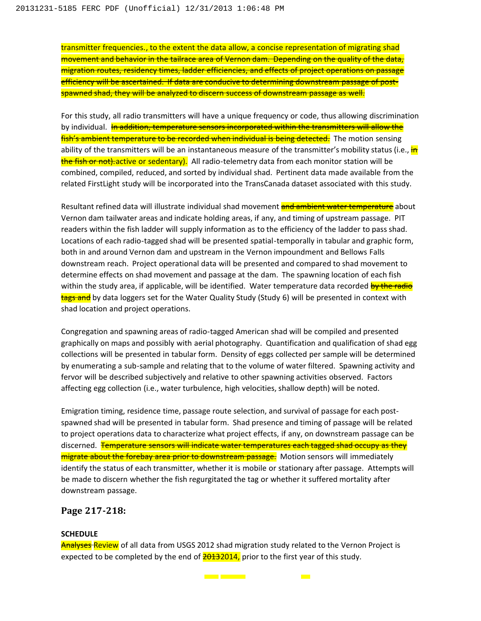transmitter frequencies., to the extent the data allow, a concise representation of migrating shad movement and behavior in the tailrace area of Vernon dam. Depending on the quality of the data, migration routes, residency times, ladder efficiencies, and effects of project operations on passage efficiency will be ascertained. If data are conducive to determining downstream passage of postspawned shad, they will be analyzed to discern success of downstream passage as well.

For this study, all radio transmitters will have a unique frequency or code, thus allowing discrimination by individual. In addition, temperature sensors incorporated within the transmitters will allow the fish's ambient temperature to be recorded when individual is being detected. The motion sensing ability of the transmitters will be an instantaneous measure of the transmitter's mobility status (i.e., in the fish or not). active or sedentary). All radio-telemetry data from each monitor station will be combined, compiled, reduced, and sorted by individual shad. Pertinent data made available from the related FirstLight study will be incorporated into the TransCanada dataset associated with this study.

Resultant refined data will illustrate individual shad movement and ambient water temperature about Vernon dam tailwater areas and indicate holding areas, if any, and timing of upstream passage. PIT readers within the fish ladder will supply information as to the efficiency of the ladder to pass shad. Locations of each radio-tagged shad will be presented spatial-temporally in tabular and graphic form, both in and around Vernon dam and upstream in the Vernon impoundment and Bellows Falls downstream reach. Project operational data will be presented and compared to shad movement to determine effects on shad movement and passage at the dam. The spawning location of each fish within the study area, if applicable, will be identified. Water temperature data recorded by the radio tags and by data loggers set for the Water Quality Study (Study 6) will be presented in context with shad location and project operations.

Congregation and spawning areas of radio-tagged American shad will be compiled and presented graphically on maps and possibly with aerial photography. Quantification and qualification of shad egg collections will be presented in tabular form. Density of eggs collected per sample will be determined by enumerating a sub-sample and relating that to the volume of water filtered. Spawning activity and fervor will be described subjectively and relative to other spawning activities observed. Factors affecting egg collection (i.e., water turbulence, high velocities, shallow depth) will be noted.

Emigration timing, residence time, passage route selection, and survival of passage for each postspawned shad will be presented in tabular form. Shad presence and timing of passage will be related to project operations data to characterize what project effects, if any, on downstream passage can be discerned. Temperature sensors will indicate water temperatures each tagged shad occupy as they migrate about the forebay area prior to downstream passage. Motion sensors will immediately identify the status of each transmitter, whether it is mobile or stationary after passage. Attempts will be made to discern whether the fish regurgitated the tag or whether it suffered mortality after downstream passage.

#### **Page 217-218:**

#### **SCHEDULE**

Analyses Review of all data from USGS 2012 shad migration study related to the Vernon Project is expected to be completed by the end of  $\frac{20132014}{201300}$  prior to the first year of this study.

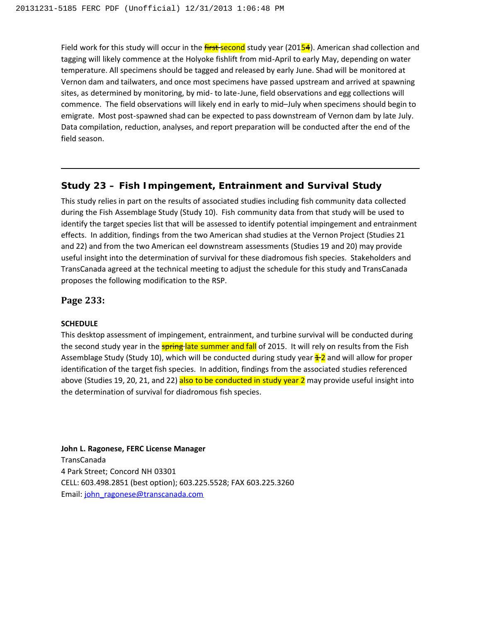Field work for this study will occur in the *first-second* study year (20154). American shad collection and tagging will likely commence at the Holyoke fishlift from mid-April to early May, depending on water temperature. All specimens should be tagged and released by early June. Shad will be monitored at Vernon dam and tailwaters, and once most specimens have passed upstream and arrived at spawning sites, as determined by monitoring, by mid- to late-June, field observations and egg collections will commence. The field observations will likely end in early to mid–July when specimens should begin to emigrate. Most post-spawned shad can be expected to pass downstream of Vernon dam by late July. Data compilation, reduction, analyses, and report preparation will be conducted after the end of the field season.

## **Study 23 – Fish Impingement, Entrainment and Survival Study**

This study relies in part on the results of associated studies including fish community data collected during the Fish Assemblage Study (Study 10). Fish community data from that study will be used to identify the target species list that will be assessed to identify potential impingement and entrainment effects. In addition, findings from the two American shad studies at the Vernon Project (Studies 21 and 22) and from the two American eel downstream assessments (Studies 19 and 20) may provide useful insight into the determination of survival for these diadromous fish species. Stakeholders and TransCanada agreed at the technical meeting to adjust the schedule for this study and TransCanada proposes the following modification to the RSP.

### **Page 233:**

#### **SCHEDULE**

This desktop assessment of impingement, entrainment, and turbine survival will be conducted during the second study year in the **spring-late summer and fall** of 2015. It will rely on results from the Fish Assemblage Study (Study 10), which will be conducted during study year  $\pm 2$  and will allow for proper identification of the target fish species. In addition, findings from the associated studies referenced above (Studies 19, 20, 21, and 22) also to be conducted in study year 2 may provide useful insight into the determination of survival for diadromous fish species.

**John L. Ragonese, FERC License Manager** TransCanada 4 Park Street; Concord NH 03301 CELL: 603.498.2851 (best option); 603.225.5528; FAX 603.225.3260 Email: [john\\_ragonese@transcanada.com](mailto:john_ragonese@transcanada.com)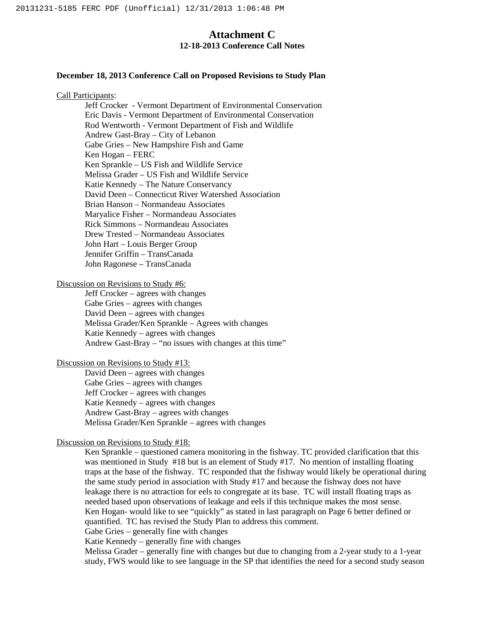## **Attachment C 12-18-2013 Conference Call Notes**

#### **December 18, 2013 Conference Call on Proposed Revisions to Study Plan**

#### Call Participants:

Jeff Crocker - Vermont Department of Environmental Conservation Eric Davis - Vermont Department of Environmental Conservation Rod Wentworth - Vermont Department of Fish and Wildlife Andrew Gast-Bray – City of Lebanon Gabe Gries – New Hampshire Fish and Game Ken Hogan – FERC Ken Sprankle – US Fish and Wildlife Service Melissa Grader – US Fish and Wildlife Service Katie Kennedy – The Nature Conservancy David Deen – Connecticut River Watershed Association Brian Hanson – Normandeau Associates Maryalice Fisher – Normandeau Associates Rick Simmons – Normandeau Associates Drew Trested – Normandeau Associates John Hart – Louis Berger Group Jennifer Griffin – TransCanada John Ragonese – TransCanada

#### Discussion on Revisions to Study #6:

Jeff Crocker – agrees with changes Gabe Gries – agrees with changes David Deen – agrees with changes Melissa Grader/Ken Sprankle – Agrees with changes Katie Kennedy – agrees with changes Andrew Gast-Bray – "no issues with changes at this time"

#### Discussion on Revisions to Study #13:

David Deen – agrees with changes Gabe Gries – agrees with changes Jeff Crocker – agrees with changes Katie Kennedy – agrees with changes Andrew Gast-Bray – agrees with changes Melissa Grader/Ken Sprankle – agrees with changes

#### Discussion on Revisions to Study #18:

Ken Sprankle – questioned camera monitoring in the fishway. TC provided clarification that this was mentioned in Study #18 but is an element of Study #17. No mention of installing floating traps at the base of the fishway. TC responded that the fishway would likely be operational during the same study period in association with Study #17 and because the fishway does not have leakage there is no attraction for eels to congregate at its base. TC will install floating traps as needed based upon observations of leakage and eels if this technique makes the most sense. Ken Hogan- would like to see "quickly" as stated in last paragraph on Page 6 better defined or quantified. TC has revised the Study Plan to address this comment.

Gabe Gries – generally fine with changes

Katie Kennedy – generally fine with changes

Melissa Grader – generally fine with changes but due to changing from a 2-year study to a 1-year study, FWS would like to see language in the SP that identifies the need for a second study season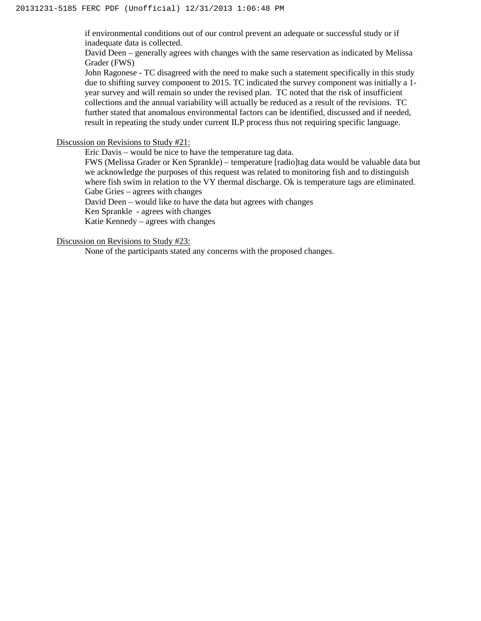if environmental conditions out of our control prevent an adequate or successful study or if inadequate data is collected.

David Deen – generally agrees with changes with the same reservation as indicated by Melissa Grader (FWS)

John Ragonese - TC disagreed with the need to make such a statement specifically in this study due to shifting survey component to 2015. TC indicated the survey component was initially a 1 year survey and will remain so under the revised plan. TC noted that the risk of insufficient collections and the annual variability will actually be reduced as a result of the revisions. TC further stated that anomalous environmental factors can be identified, discussed and if needed, result in repeating the study under current ILP process thus not requiring specific language.

Discussion on Revisions to Study #21:

Eric Davis – would be nice to have the temperature tag data.

FWS (Melissa Grader or Ken Sprankle) – temperature [radio]tag data would be valuable data but we acknowledge the purposes of this request was related to monitoring fish and to distinguish where fish swim in relation to the VY thermal discharge. Ok is temperature tags are eliminated. Gabe Gries – agrees with changes

David Deen – would like to have the data but agrees with changes

Ken Sprankle - agrees with changes

Katie Kennedy – agrees with changes

Discussion on Revisions to Study #23:

None of the participants stated any concerns with the proposed changes.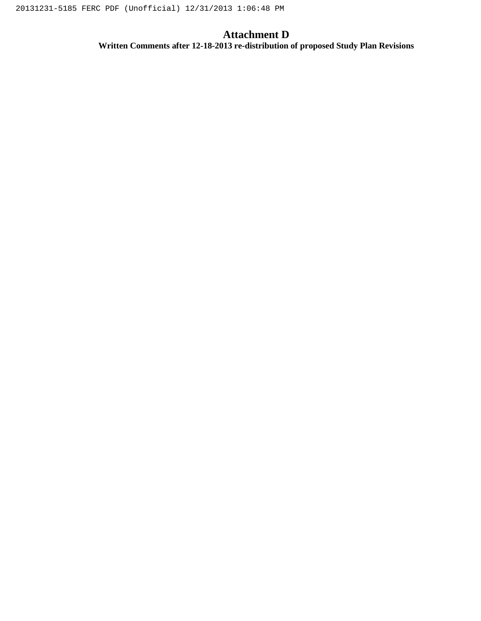# **Attachment D**

**Written Comments after 12-18-2013 re-distribution of proposed Study Plan Revisions**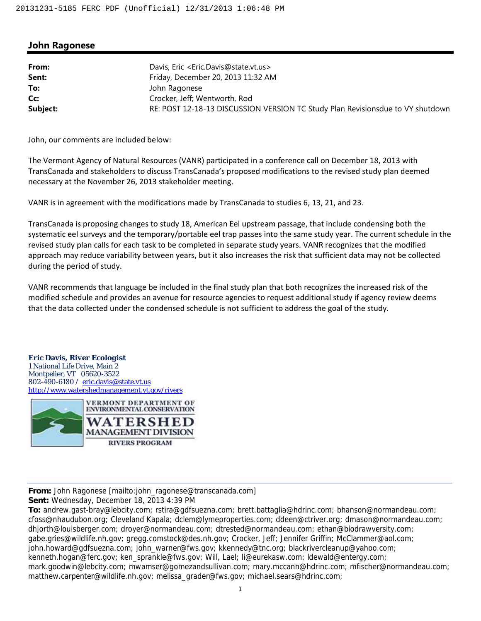## **John Ragonese**

| From:    | Davis, Eric < Eric. Davis@state.vt.us>                                         |
|----------|--------------------------------------------------------------------------------|
| Sent:    | Friday, December 20, 2013 11:32 AM                                             |
| To:      | John Ragonese                                                                  |
| Cc:      | Crocker, Jeff; Wentworth, Rod                                                  |
| Subject: | RE: POST 12-18-13 DISCUSSION VERSION TC Study Plan Revisionsdue to VY shutdown |

John, our comments are included below:

The Vermont Agency of Natural Resources (VANR) participated in a conference call on December 18, 2013 with TransCanada and stakeholders to discuss TransCanada's proposed modifications to the revised study plan deemed necessary at the November 26, 2013 stakeholder meeting.

VANR is in agreement with the modifications made by TransCanada to studies 6, 13, 21, and 23.

TransCanada is proposing changes to study 18, American Eel upstream passage, that include condensing both the systematic eel surveys and the temporary/portable eel trap passes into the same study year. The current schedule in the revised study plan calls for each task to be completed in separate study years. VANR recognizes that the modified approach may reduce variability between years, but it also increases the risk that sufficient data may not be collected during the period of study.

VANR recommends that language be included in the final study plan that both recognizes the increased risk of the modified schedule and provides an avenue for resource agencies to request additional study if agency review deems that the data collected under the condensed schedule is not sufficient to address the goal of the study.

#### **Eric Davis,** *River Ecologist*

1 National Life Drive, Main 2 Montpelier, VT 05620-3522 802-490-6180 / eric.davis@state.vt.us http://www.watershedmanagement.vt.gov/rivers



**From:** John Ragonese [mailto:john\_ragonese@transcanada.com]

**Sent:** Wednesday, December 18, 2013 4:39 PM

**To:** andrew.gast-bray@lebcity.com; rstira@gdfsuezna.com; brett.battaglia@hdrinc.com; bhanson@normandeau.com; cfoss@nhaudubon.org; Cleveland Kapala; dclem@lymeproperties.com; ddeen@ctriver.org; dmason@normandeau.com; dhjorth@louisberger.com; droyer@normandeau.com; dtrested@normandeau.com; ethan@biodrawversity.com; gabe.gries@wildlife.nh.gov; gregg.comstock@des.nh.gov; Crocker, Jeff; Jennifer Griffin; McClammer@aol.com; john.howard@gdfsuezna.com; john\_warner@fws.gov; kkennedy@tnc.org; blackrivercleanup@yahoo.com; kenneth.hogan@ferc.gov; ken\_sprankle@fws.gov; Will, Lael; li@eurekasw.com; ldewald@entergy.com; mark.goodwin@lebcity.com; mwamser@gomezandsullivan.com; mary.mccann@hdrinc.com; mfischer@normandeau.com; matthew.carpenter@wildlife.nh.gov; melissa\_grader@fws.gov; michael.sears@hdrinc.com;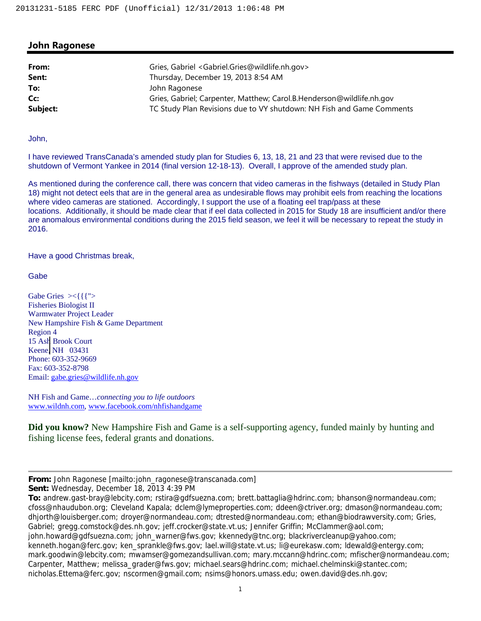### **John Ragonese**

| From:<br>Sent: | Gries, Gabriel <gabriel.gries@wildlife.nh.gov><br/>Thursday, December 19, 2013 8:54 AM</gabriel.gries@wildlife.nh.gov> |
|----------------|------------------------------------------------------------------------------------------------------------------------|
| To:            | John Ragonese                                                                                                          |
| Cc:            | Gries, Gabriel; Carpenter, Matthew; Carol.B.Henderson@wildlife.nh.gov                                                  |
| Subject:       | TC Study Plan Revisions due to VY shutdown: NH Fish and Game Comments                                                  |

John,

I have reviewed TransCanada's amended study plan for Studies 6, 13, 18, 21 and 23 that were revised due to the shutdown of Vermont Yankee in 2014 (final version 12-18-13). Overall, I approve of the amended study plan.

As mentioned during the conference call, there was concern that video cameras in the fishways (detailed in Study Plan 18) might not detect eels that are in the general area as undesirable flows may prohibit eels from reaching the locations where video cameras are stationed. Accordingly, I support the use of a floating eel trap/pass at these locations. Additionally, it should be made clear that if eel data collected in 2015 for Study 18 are insufficient and/or there are anomalous environmental conditions during the 2015 field season, we feel it will be necessary to repeat the study in 2016.

Have a good Christmas break,

**Gabe** 

Gabe Gries  $>\{$ { $\}'$ > Fisheries Biologist II Warmwater Project Leader New Hampshire Fish & Game Department Region 4 15 Ash Brook Court Keene, NH 03431 Phone: 603-352-9669 Fax: 603-352-8798 Email: gabe.gries@wildlife.nh.gov

NH Fish and Game…*connecting you to life outdoors* www.wildnh.com, www.facebook.com/nhfishandgame

**Did you know?** New Hampshire Fish and Game is a self-supporting agency, funded mainly by hunting and fishing license fees, federal grants and donations.

**Sent:** Wednesday, December 18, 2013 4:39 PM

**From:** John Ragonese [mailto:john\_ragonese@transcanada.com]

**To:** andrew.gast-bray@lebcity.com; rstira@gdfsuezna.com; brett.battaglia@hdrinc.com; bhanson@normandeau.com; cfoss@nhaudubon.org; Cleveland Kapala; dclem@lymeproperties.com; ddeen@ctriver.org; dmason@normandeau.com; dhjorth@louisberger.com; droyer@normandeau.com; dtrested@normandeau.com; ethan@biodrawversity.com; Gries, Gabriel; gregg.comstock@des.nh.gov; jeff.crocker@state.vt.us; Jennifer Griffin; McClammer@aol.com; john.howard@gdfsuezna.com; john\_warner@fws.gov; kkennedy@tnc.org; blackrivercleanup@yahoo.com; kenneth.hogan@ferc.gov; ken\_sprankle@fws.gov; lael.will@state.vt.us; li@eurekasw.com; ldewald@entergy.com; mark.goodwin@lebcity.com; mwamser@gomezandsullivan.com; mary.mccann@hdrinc.com; mfischer@normandeau.com; Carpenter, Matthew; melissa\_grader@fws.gov; michael.sears@hdrinc.com; michael.chelminski@stantec.com; nicholas.Ettema@ferc.gov; nscormen@gmail.com; nsims@honors.umass.edu; owen.david@des.nh.gov;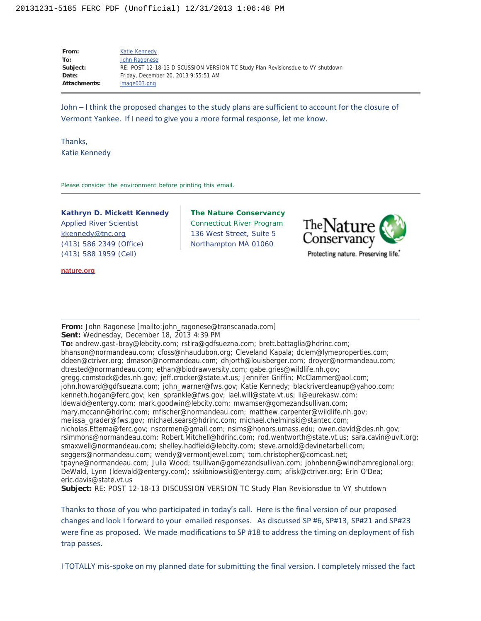| From:        | Katie Kennedy                                                                  |
|--------------|--------------------------------------------------------------------------------|
| To:          | John Ragonese                                                                  |
| Subject:     | RE: POST 12-18-13 DISCUSSION VERSION TC Study Plan Revisionsdue to VY shutdown |
| Date:        | Friday, December 20, 2013 9:55:51 AM                                           |
| Attachments: | image003.png                                                                   |

John – I think the proposed changes to the study plans are sufficient to account for the closure of Vermont Yankee. If I need to give you a more formal response, let me know.

Thanks, Katie Kennedy

Please consider the environment before printing this email.

**Kathryn D. Mickett Kennedy** *Applied River Scientist* kkennedy@tnc.org (413) 586 2349 (Office) (413) 588 1959 (Cell)

**nature.org**

**The Nature Conservancy** Connecticut River Program 136 West Street, Suite 5 Northampton MA 01060



Protecting nature. Preserving life.

**From:** John Ragonese [mailto:john\_ragonese@transcanada.com] **Sent:** Wednesday, December 18, 2013 4:39 PM

**To:** andrew.gast-bray@lebcity.com; rstira@gdfsuezna.com; brett.battaglia@hdrinc.com; bhanson@normandeau.com; cfoss@nhaudubon.org; Cleveland Kapala; dclem@lymeproperties.com; ddeen@ctriver.org; dmason@normandeau.com; dhjorth@louisberger.com; droyer@normandeau.com; dtrested@normandeau.com; ethan@biodrawversity.com; gabe.gries@wildlife.nh.gov; gregg.comstock@des.nh.gov; jeff.crocker@state.vt.us; Jennifer Griffin; McClammer@aol.com; john.howard@gdfsuezna.com; john\_warner@fws.gov; Katie Kennedy; blackrivercleanup@yahoo.com; kenneth.hogan@ferc.gov; ken\_sprankle@fws.gov; lael.will@state.vt.us; li@eurekasw.com; ldewald@entergy.com; mark.goodwin@lebcity.com; mwamser@gomezandsullivan.com; mary.mccann@hdrinc.com; mfischer@normandeau.com; matthew.carpenter@wildlife.nh.gov; melissa\_grader@fws.gov; michael.sears@hdrinc.com; michael.chelminski@stantec.com; nicholas.Ettema@ferc.gov; nscormen@gmail.com; nsims@honors.umass.edu; owen.david@des.nh.gov; rsimmons@normandeau.com; Robert.Mitchell@hdrinc.com; rod.wentworth@state.vt.us; sara.cavin@uvlt.org; smaxwell@normandeau.com; shelley.hadfield@lebcity.com; steve.arnold@devinetarbell.com; seggers@normandeau.com; wendy@vermontjewel.com; tom.christopher@comcast.net; tpayne@normandeau.com; Julia Wood; tsullivan@gomezandsullivan.com; johnbenn@windhamregional.org; DeWald, Lynn (ldewald@entergy.com); sskibniowski@entergy.com; afisk@ctriver.org; Erin O'Dea; eric.davis@state.vt.us

**Subject:** RE: POST 12-18-13 DISCUSSION VERSION TC Study Plan Revisionsdue to VY shutdown

Thanks to those of you who participated in today's call. Here is the final version of our proposed changes and look I forward to your emailed responses. As discussed SP #6, SP#13, SP#21 and SP#23 were fine as proposed. We made modifications to SP #18 to address the timing on deployment of fish trap passes.

I TOTALLY mis-spoke on my planned date for submitting the final version. I completely missed the fact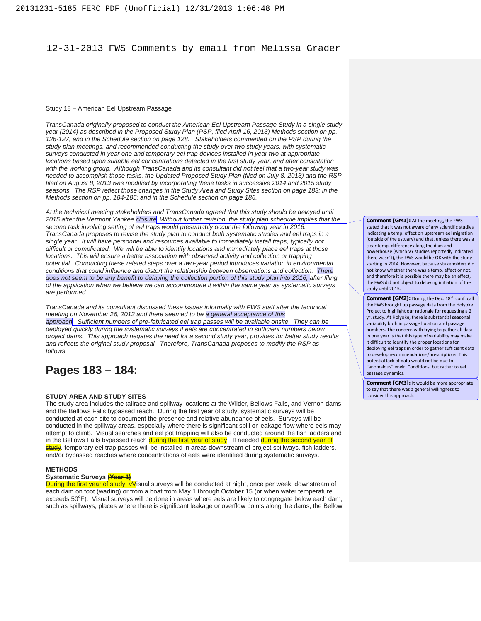#### 12-31-2013 FWS Comments by email from Melissa Grader

#### Study 18 – American Eel Upstream Passage

*TransCanada originally proposed to conduct the American Eel Upstream Passage Study in a single study year (2014) as described in the Proposed Study Plan (PSP, filed April 16, 2013) Methods section on pp. 126-127, and in the Schedule section on page 128. Stakeholders commented on the PSP during the study plan meetings, and recommended conducting the study over two study years, with systematic surveys conducted in year one and temporary eel trap devices installed in year two at appropriate locations based upon suitable eel concentrations detected in the first study year, and after consultation with the working group. Although TransCanada and its consultant did not feel that a two-year study was needed to accomplish those tasks, the Updated Proposed Study Plan (filed on July 8, 2013) and the RSP filed on August 8, 2013 was modified by incorporating these tasks in successive 2014 and 2015 study*  seasons. The RSP reflect those changes in the Study Area and Study Sites section on page 183; in the *Methods section on pp. 184-185; and in the Schedule section on page 186.* 

*At the technical meeting stakeholders and TransCanada agreed that this study should be delayed until 2015 after the Vermont Yankee closure. Without further revision, the study plan schedule implies that the second task involving setting of eel traps would presumably occur the following year in 2016. TransCanada proposes to revise the study plan to conduct both systematic studies and eel traps in a single year. It will have personnel and resources available to immediately install traps, typically not difficult or complicated. We will be able to identify locations and immediately place eel traps at those locations. This will ensure a better association with observed activity and collection or trapping potential. Conducting these related steps over a two-year period introduces variation in environmental conditions that could influence and distort the relationship between observations and collection. There does not seem to be any benefit to delaying the collection portion of this study plan into 2016, after filing of the application when we believe we can accommodate it within the same year as systematic surveys are performed.*

*TransCanada and its consultant discussed these issues informally with FWS staff after the technical meeting on November 26, 2013 and there seemed to be a general acceptance of this approach. Sufficient numbers of pre-fabricated eel trap passes will be available onsite. They can be deployed quickly during the systematic surveys if eels are concentrated in sufficient numbers below project dams. This approach negates the need for a second study year, provides for better study results and reflects the original study proposal. Therefore, TransCanada proposes to modify the RSP as follows.* 

# **Pages 183 – 184:**

#### **STUDY AREA AND STUDY SITES**

The study area includes the tailrace and spillway locations at the Wilder, Bellows Falls, and Vernon dams and the Bellows Falls bypassed reach. During the first year of study, systematic surveys will be conducted at each site to document the presence and relative abundance of eels. Surveys will be conducted in the spillway areas, especially where there is significant spill or leakage flow where eels may attempt to climb. Visual searches and eel pot trapping will also be conducted around the fish ladders and in the Bellows Falls bypassed reach-during the first year of study. If needed during the second year of study, temporary eel trap passes will be installed in areas downstream of project spillways, fish ladders, and/or bypassed reaches where concentrations of eels were identified during systematic surveys.

#### **METHODS**

#### **Systematic Surveys (Year 1)**

**During the first year of study, vV**isual surveys will be conducted at night, once per week, downstream of each dam on foot (wading) or from a boat from May 1 through October 15 (or when water temperature exceeds 50°F). Visual surveys will be done in areas where eels are likely to congregate below each dam, such as spillways, places where there is significant leakage or overflow points along the dams, the Bellow

**Comment [GM1]:** At the meeting, the FWS stated that it was not aware of any scientific studies indicating a temp. effect on upstream eel migration (outside of the estuary) and that, unless there was a clear temp. difference along the dam and powerhouse (which VY studies reportedly indicated there wasn't), the FWS would be OK with the study starting in 2014. However, because stakeholders did not know whether there was a temp. effect or not, and therefore it is possible there may be an effect, the FWS did not object to delaying initiation of the study until 2015.

**Comment [GM2]:** During the Dec. 18<sup>th</sup> conf. call the FWS brought up passage data from the Holyoke Project to highlight our rationale for requesting a 2 yr. study. At Holyoke, there is substantial seasonal variability both in passage location and passage numbers. The concern with trying to gather all data in one year is that this type of variability may make it difficult to identify the proper locations for deploying eel traps in order to gather sufficient data to develop recommendations/prescriptions. This potential lack of data would not be due to "anomalous" envir. Conditions, but rather to eel passage dynamics.

**Comment [GM3]:** It would be more appropriate to say that there was a general willingness to consider this approach.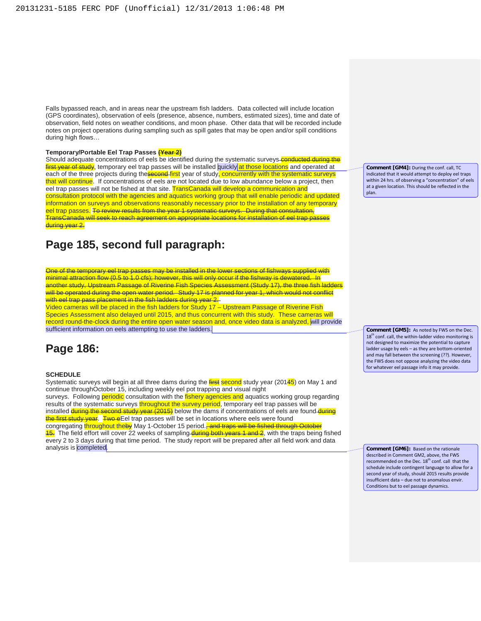Falls bypassed reach, and in areas near the upstream fish ladders. Data collected will include location (GPS coordinates), observation of eels (presence, absence, numbers, estimated sizes), time and date of observation, field notes on weather conditions, and moon phase. Other data that will be recorded include notes on project operations during sampling such as spill gates that may be open and/or spill conditions during high flows…

#### **Temporary/Portable Eel Trap Passes (Year 2)**

Should adequate concentrations of eels be identified during the systematic surveys conducted during the first year of study, temporary eel trap passes will be installed quickly at those locations and operated at each of the three projects during the **second first** year of study, concurrently with the systematic surveys that will continue. If concentrations of eels are not located due to low abundance below a project, then eel trap passes will not be fished at that site. TransCanada will develop a communication and consultation protocol with the agencies and aquatics working group that will enable periodic and updated information on surveys and observations reasonably necessary prior to the installation of any temporary eel trap passes. To review results from the year 1 systematic surveys. During that consultation, TransCanada will seek to reach agreement on appropriate locations for installation of eel trap passes during year 2.

# **Page 185, second full paragraph:**

One of the temporary eel trap passes may be installed in the lower sections of fishways supplied with minimal attraction flow (0.5 to 1.0 cfs); however, this will only occur if the fishway is dewatered. In another study, Upstream Passage of Riverine Fish Species Assessment (Study 17), the three fish ladders will be operated during the open water period. Study 17 is planned for year 1, which would not conflict with eel trap pass placement in the fish ladders during year 2.

Video cameras will be placed in the fish ladders for Study 17 – Upstream Passage of Riverine Fish Species Assessment also delayed until 2015, and thus concurrent with this study. These cameras will record round-the-clock during the entire open water season and, once video data is analyzed, will provide sufficient information on eels attempting to use the ladders.

# **Page 186:**

#### **SCHEDULE**

Systematic surveys will begin at all three dams during the first second study year (20145) on May 1 and continue throughOctober 15, including weekly eel pot trapping and visual night surveys. Following **periodic** consultation with the *fishery* agencies and aquatics working group regarding results of the systematic surveys throughout the survey period, temporary eel trap passes will be installed **during the second study year (2015)** below the dams if concentrations of eels are found du the first study year. Two eEel trap passes will be set in locations where eels were found congregating throughout theby May 1-October 15 period.<sup>2</sup> and traps will be fished through

15. The field effort will cover 22 weeks of sampling during both years 1 and 2, with the traps being fished every 2 to 3 days during that time period. The study report will be prepared after all field work and data analysis is completed.

**Comment [GM4]:** During the conf. call, TC indicated that it would attempt to deploy eel traps within 24 hrs. of observing a "concentration" of eels at a given location. This should be reflected in the plan.

**Comment [GM5]:** As noted by FWS on the Dec.  $18<sup>th</sup>$  conf. call, the within-ladder video monitoring is not designed to maximize the potential to capture ladder usage by eels – as they are bottom-oriented and may fall between the screening (??). However, the FWS does not oppose analyzing the video data for whatever eel passage info it may provide.

**Comment [GM6]:** Based on the rationale described in Comment GM2, above, the FWS recommended on the Dec.  $18^{th}$  conf. call that the schedule include contingent language to allow for a second year of study, should 2015 results provide insufficient data – due not to anomalous envir. Conditions but to eel passage dynamics.